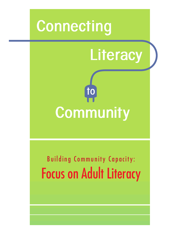



# Building Community Capacity: Focus on Adult Literacy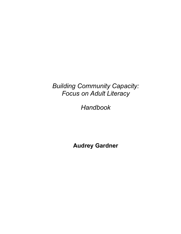## *Building Community Capacity: Focus on Adult Literacy*

*Handbook* 

**Audrey Gardner**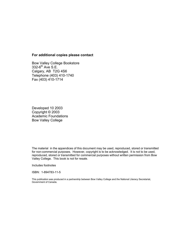#### **For additional copies please contact**

Bow Valley College Bookstore  $332-6$ <sup>th</sup> Ave S.E. Calgary, AB T2G 4S6 Telephone (403) 410-1740 Fax (403) 410-1714

Developed 10 2003 Copyright © 2003 Academic Foundations Bow Valley College

The material in the appendices of this document may be used, reproduced, stored or transmitted for non-commercial purposes. However, copyright is to be acknowledged. It is not to be used, reproduced, stored or transmitted for commercial purposes without written permission from Bow Valley College. This book is not for resale.

Includes footnotes

ISBN: 1-894783-11-5

This publication was produced in a partnership between Bow Valley College and the National Literacy Secretariat, Government of Canada.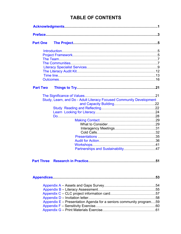## **TABLE OF CONTENTS**

| <b>Part One</b> |                                                                     |  |  |  |
|-----------------|---------------------------------------------------------------------|--|--|--|
|                 |                                                                     |  |  |  |
|                 |                                                                     |  |  |  |
|                 |                                                                     |  |  |  |
|                 |                                                                     |  |  |  |
|                 |                                                                     |  |  |  |
|                 |                                                                     |  |  |  |
|                 |                                                                     |  |  |  |
|                 |                                                                     |  |  |  |
| <b>Part Two</b> |                                                                     |  |  |  |
|                 |                                                                     |  |  |  |
|                 | Study, Learn, and Do - Adult Literacy Focused Community Development |  |  |  |
|                 |                                                                     |  |  |  |
|                 |                                                                     |  |  |  |
|                 |                                                                     |  |  |  |
|                 |                                                                     |  |  |  |
|                 |                                                                     |  |  |  |
|                 |                                                                     |  |  |  |
|                 |                                                                     |  |  |  |
|                 |                                                                     |  |  |  |
|                 |                                                                     |  |  |  |
|                 |                                                                     |  |  |  |
|                 | Partnerships and Sustainability47                                   |  |  |  |
|                 |                                                                     |  |  |  |
|                 |                                                                     |  |  |  |
|                 |                                                                     |  |  |  |
|                 |                                                                     |  |  |  |
|                 |                                                                     |  |  |  |
|                 |                                                                     |  |  |  |
|                 |                                                                     |  |  |  |
|                 |                                                                     |  |  |  |
|                 |                                                                     |  |  |  |
|                 | Appendix E - Presentation Agenda for a seniors community program59  |  |  |  |
|                 |                                                                     |  |  |  |
|                 |                                                                     |  |  |  |
|                 |                                                                     |  |  |  |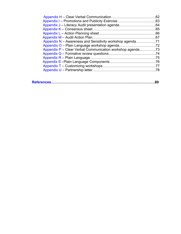| .62 |
|-----|
|     |
|     |
|     |
|     |
|     |
|     |
|     |
|     |
|     |
|     |
|     |
|     |
|     |
|     |

|--|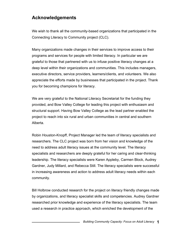## <span id="page-5-0"></span>**Acknowledgements**

We wish to thank all the community-based organizations that participated in the Connecting Literacy to Community project (CLC).

Many organizations made changes in their services to improve access to their programs and services for people with limited literacy. In particular we are grateful to those that partnered with us to infuse positive literacy changes at a deep level within their organizations and communities. This includes managers, executive directors, service providers, learners/clients, and volunteers. We also appreciate the efforts made by businesses that participated in the project. Thank you for becoming champions for literacy.

We are very grateful to the National Literacy Secretariat for the funding they provided, and Bow Valley College for leading this project with enthusiasm and structural support. Having Bow Valley College as the lead partner enabled the project to reach into six rural and urban communities in central and southern Alberta.

Robin Houston-Knopff, Project Manager led the team of literacy specialists and researchers. The CLC project was born from her vision and knowledge of the need to address adult literacy issues at the community level. The literacy specialists and researchers are deeply grateful for her caring and clear-thinking leadership. The literacy specialists were Karen Appleby, Carmen Block, Audrey Gardner, Judy Millard, and Rebecca Still. The literacy specialists were successful in increasing awareness and action to address adult literacy needs within each community.

Bill Holbrow conducted research for the project on literacy friendly changes made by organizations, and literacy specialist skills and competencies. Audrey Gardner researched prior knowledge and experience of the literacy specialists. The team used a research in practice approach, which enriched the development of the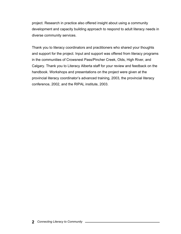project. Research in practice also offered insight about using a community development and capacity building approach to respond to adult literacy needs in diverse community services.

Thank you to literacy coordinators and practitioners who shared your thoughts and support for the project. Input and support was offered from literacy programs in the communities of Crowsnest Pass/Pincher Creek, Olds, High River, and Calgary. Thank you to Literacy Alberta staff for your review and feedback on the handbook. Workshops and presentations on the project were given at the provincial literacy coordinator's advanced training, 2003, the provincial literacy conference, 2002, and the RIPAL institute, 2003.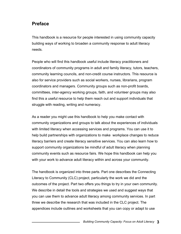## <span id="page-7-0"></span>**Preface**

This handbook is a resource for people interested in using community capacity building ways of working to broaden a community response to adult literacy needs.

People who will find this handbook useful include literacy practitioners and coordinators of community programs in adult and family literacy, tutors, teachers, community learning councils, and non-credit course instructors. This resource is also for service providers such as social workers, nurses, librarians, program coordinators and managers. Community groups such as non-profit boards, committees, inter-agency working groups, faith, and volunteer groups may also find this a useful resource to help them reach out and support individuals that struggle with reading, writing and numeracy.

As a reader you might use this handbook to help you make contact with community organizations and groups to talk about the experiences of individuals with limited literacy when accessing services and programs. You can use it to help build partnerships with organizations to make workplace changes to reduce literacy barriers and create literacy sensitive services. You can also learn how to support community organizations be mindful of adult literacy when planning community events such as resource fairs. We hope this handbook can help you with your work to advance adult literacy within and across your community.

The handbook is organized into three parts. Part one describes the Connecting Literacy to Community (CLC) project, particularly the work we did and the outcomes of the project. Part two offers you things to try in your own community. We describe in detail the tools and strategies we used and suggest ways that you can use them to advance adult literacy among community services. In part three we describe the research that was included in the CLC project. The appendices include outlines and worksheets that you can copy or adapt to use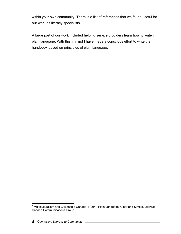within your own community. There is a list of references that we found useful for our work as literacy specialists.

A large part of our work included helping service providers learn how to write in plain language. With this in mind I have made a conscious effort to write the handbook based on principles of plain language. $1$ 

 1 Multiculturalism and Citizenship Canada. (1994). Plain Language: Clear and Simple. Ottawa: Canada Communications Group.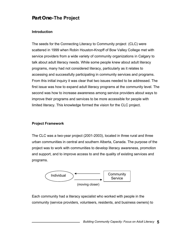## <span id="page-9-0"></span>**Part One-The Project**

#### **Introduction**

The seeds for the Connecting Literacy to Community project (CLC) were scattered in 1999 when Robin Houston-Knopff of Bow Valley College met with service providers from a wide variety of community organizations in Calgary to talk about adult literacy needs. While some people knew about adult literacy programs, many had not considered literacy, particularly as it relates to accessing and successfully participating in community services and programs. From this initial inquiry it was clear that two issues needed to be addressed. The first issue was how to expand adult literacy programs at the community level. The second was how to increase awareness among service providers about ways to improve their programs and services to be more accessible for people with limited literacy. This knowledge formed the vision for the CLC project.

#### **Project Framework**

The CLC was a two-year project (2001-2003), located in three rural and three urban communities in central and southern Alberta, Canada. The purpose of the project was to work with communities to develop literacy awareness, promotion and support, and to improve access to and the quality of existing services and programs.



Each community had a literacy specialist who worked with people in the community (service providers, volunteers, residents, and business owners) to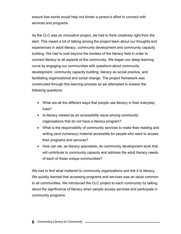ensure that words would help not hinder a person's effort to connect with services and programs.

As the CLC was an innovative project, we had to think creatively right from the start. This meant a lot of talking among the project team about our thoughts and experiences in adult literacy, community development and community capacity building. We had to look beyond the borders of the literacy field in order to connect literacy to all aspects of the community. We began our steep learning curve by engaging our communities with questions about community development, community capacity building, literacy as social practice, and facilitating organizational and social change. The project framework was constructed through this learning process as we attempted to answer the following questions:

- What are all the different ways that people use literacy in their everyday lives?
- Is literacy viewed as an accessibility issue among community organizations that do not have a literacy program?
- What is the responsibility of community services to make their reading and writing (and numeracy) material accessible for people who want to access their programs and services?
- How can we, as literacy specialists, do community development work that will contribute to community capacity and address the adult literacy needs of each of these unique communities?

We had to find what mattered to community organizations and link it to literacy. We quickly learned that accessing programs and services was an issue common to all communities. We introduced the CLC project to each community by talking about the significance of literacy when people access services and participate in community programs.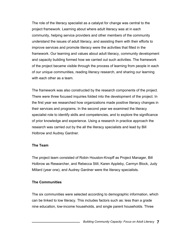<span id="page-11-0"></span>The role of the literacy specialist as a catalyst for change was central to the project framework. Learning about where adult literacy was at in each community, helping service providers and other members of the community understand the issues of adult literacy, and assisting them with their efforts to improve services and promote literacy were the activities that filled in the framework. Our learning and values about adult literacy, community development and capacity building formed how we carried out such activities. The framework of the project became visible through the process of learning from people in each of our unique communities, reading literacy research, and sharing our learning with each other as a team.

The framework was also constructed by the research components of the project. There were three focused inquiries folded into the development of the project. In the first year we researched how organizations made positive literacy changes in their services and programs. In the second year we examined the literacy specialist role to identify skills and competencies, and to explore the significance of prior knowledge and experience. Using a research in practice approach the research was carried out by the all the literacy specialists and lead by Bill Holbrow and Audrey Gardner.

#### **The Team**

The project team consisted of Robin Houston-Knopff as Project Manager, Bill Holbrow as Researcher, and Rebecca Still, Karen Appleby, Carmyn Block, Judy Millard (year one), and Audrey Gardner were the literacy specialists.

#### **The Communities**

The six communities were selected according to demographic information, which can be linked to low literacy. This includes factors such as: less than a grade nine education, low-income households, and single parent households. Three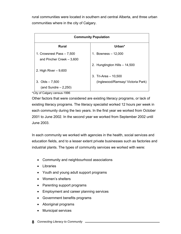rural communities were located in southern and central Alberta, and three urban communities where in the city of Calgary.

| <b>Community Population</b>                             |                                   |  |  |
|---------------------------------------------------------|-----------------------------------|--|--|
| <b>Rural</b>                                            | Urban*                            |  |  |
| 1. Crowsnest Pass - 7,500<br>and Pincher Creek $-3,600$ | 1. Bowness $-12,000$              |  |  |
| 2. High River $-9,600$                                  | 2. Hungtington Hills - 14,500     |  |  |
|                                                         | 3. Tri-Area $-10,500$             |  |  |
| 3. Olds $-7,500$                                        | (Inglewood/Ramsay/ Victoria Park) |  |  |
| (and Sundre $-2,250$ )                                  |                                   |  |  |

\*City of Calgary census-1996

Other factors that were considered are existing literacy programs, or lack of existing literacy programs. The literacy specialist worked 12 hours per week in each community during the two years. In the first year we worked from October 2001 to June 2002. In the second year we worked from September 2002 until June 2003.

In each community we worked with agencies in the health, social services and education fields, and to a lesser extent private businesses such as factories and industrial plants. The types of community services we worked with were:

- Community and neighbourhood associations
- Libraries
- Youth and young adult support programs
- Women's shelters
- Parenting support programs
- Employment and career planning services
- Government benefits programs
- Aboriginal programs
- Municipal services
- **8** *Connecting Literacy to Community*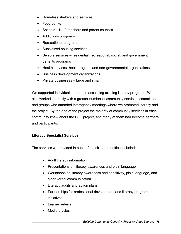- <span id="page-13-0"></span>• Homeless shelters and services
- Food banks
- Schools K-12 teachers and parent councils
- Addictions programs
- Recreational programs
- Subsidized housing services
- Seniors services residential, recreational, social, and government benefits programs
- Health services- health regions and non-governmental organizations
- Business development organizations
- Private businesses large and small

We supported individual learners in accessing existing literacy programs. We also worked indirectly with a greater number of community services, committees and groups who attended interagency meetings where we promoted literacy and the project. By the end of the project the majority of community services in each community knew about the CLC project, and many of them had become partners and participants.

#### **Literacy Specialist Services**

The services we provided in each of the six communities included:

- Adult literacy information
- Presentations on literacy awareness and plain language
- Workshops on literacy awareness and sensitivity, plain language, and clear verbal communication
- Literacy audits and action plans
- Partnerships for professional development and literacy program initiatives
- Learner referral
- Media articles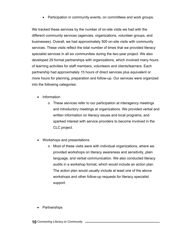• Participation in community events, on committees and work groups.

We tracked these services by the number of on-site visits we had with the different community services (agencies, organizations, volunteer groups, and businesses). Overall, we had approximately 500 on-site visits with community services. These visits reflect the total number of times that we provided literacy specialist services in all six communities during the two-year project. We also developed 29 formal partnerships with organizations, which involved many hours of learning activities for staff members, volunteers and clients/learners. Each partnership had approximately 15 hours of direct services plus equivalent or more hours for planning, preparation and follow-up. Our services were organized into the following categories:

- Information
	- o These services refer to our participation at interagency meetings and introductory meetings at organizations. We provided verbal and written information on literacy issues and local programs, and sparked interest with service providers to become involved in the CLC project.
- Workshops and presentations
	- o Most of these visits were with individual organizations, where we provided workshops on literacy awareness and sensitivity, plain language, and verbal communication. We also conducted literacy audits in a workshop format, which would include an action plan. The action plan would usually include at least one of the above workshops and other follow-up requests for literacy specialist support.
- Partnerships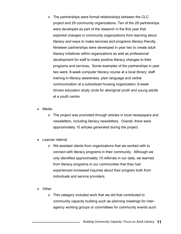- o The partnerships were formal relationships between the CLC project and 29 community organizations. Ten of the 29 partnerships were developed as part of the research in the first year that explored changes in community organizations from learning about literacy and ways to make services and programs literacy friendly. Nineteen partnerships were developed in year two to create adult literacy initiatives within organizations as well as professional development for staff to make positive literacy changes to their programs and services. Some examples of the partnerships in year two were: 8-week computer literacy course at a local library; staff training in literacy awareness, plain language and verbal communication at a subsidized housing organization; 6-week drivers education study circle for aboriginal youth and young adults at a youth centre.
- **Media** 
	- o The project was promoted through articles in local newspapers and newsletters, including literacy newsletters. Overall, there were approximately 10 articles generated during the project.
- Learner referral
	- o We assisted clients from organizations that we worked with to connect with literacy programs in their community. Although we only identified approximately 10 referrals in our data, we learned from literacy programs in our communities that they had experienced increased inquiries about their program both from individuals and service providers.
- **Other** 
	- o This category included work that we did that contributed to community capacity building such as planning meetings for interagency working groups or committees for community events such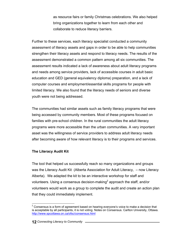as resource fairs or family Christmas celebrations. We also helped bring organizations together to learn from each other and collaborate to reduce literacy barriers.

<span id="page-16-0"></span>Further to these services, each literacy specialist conducted a community assessment of literacy assets and gaps in order to be able to help communities strengthen their literacy assets and respond to literacy needs. The results of the assessment demonstrated a common pattern among all six communities. The assessment results indicated a lack of awareness about adult literacy programs and needs among service providers, lack of accessible courses in adult basic education and GED (general equivalency diploma) preparation, and a lack of computer courses and employment/essential skills programs for people with limited literacy. We also found that the literacy needs of seniors and diverse youth were not being addressed.

The communities had similar assets such as family literacy programs that were being accessed by community members. Most of these programs focused on families with pre-school children. In the rural communities the adult literacy programs were more accessible than the urban communities. A very important asset was the willingness of service providers to address adult literacy needs after becoming aware of how relevant literacy is to their programs and services.

#### **The Literacy Audit Kit**

 $\overline{a}$ 

The tool that helped us successfully reach so many organizations and groups was the Literacy Audit Kit (Alberta Association for Adult Literacy, – now Literacy Alberta). We adapted the kit to be an interactive workshop for staff and volunteers. Using a consensus decision-making<sup>2</sup> approach the staff, and/or volunteers would work as a group to complete the audit and create an action plan that they could immediately implement.

 $2$  Consensus is a form of agreement based on hearing everyone's voice to make a decision that is acceptable by all participants, it is not voting. Notes on Consensus. Carlton University, Ottawa. <http://www.spcottawa.on.ca/ofsc/consensus.html>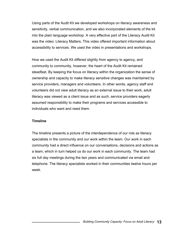<span id="page-17-0"></span>Using parts of the Audit Kit we developed workshops on literacy awareness and sensitivity, verbal communication, and we also incorporated elements of the kit into the plain language workshop. A very effective part of the Literacy Audit Kit was the video: Literacy Matters. This video offered important information about accessibility to services. We used the video in presentations and workshops.

How we used the Audit Kit differed slightly from agency to agency, and community to community, however, the heart of the Audit Kit remained steadfast. By keeping the focus on literacy within the organization the sense of ownership and capacity to make literacy sensitive changes was maintained by service providers, managers and volunteers. In other words, agency staff and volunteers did not view adult literacy as an external issue to their work, adult literacy was viewed as a client issue and as such, service providers eagerly assumed responsibility to make their programs and services accessible to individuals who want and need them.

#### **Timeline**

The timeline presents a picture of the interdependence of our role as literacy specialists in the community and our work within the team. Our work in each community had a direct influence on our conversations, decisions and actions as a team, which in turn helped us do our work in each community. The team had six full day meetings during the two years and communicated via email and telephone. The literacy specialists worked in their communities twelve hours per week.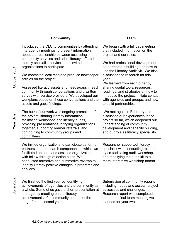|                 | Community                                                                                                                                                                                                                                                                                                             | <b>Team</b>                                                                                                                                                                                                         |
|-----------------|-----------------------------------------------------------------------------------------------------------------------------------------------------------------------------------------------------------------------------------------------------------------------------------------------------------------------|---------------------------------------------------------------------------------------------------------------------------------------------------------------------------------------------------------------------|
|                 | Introduced the CLC to communities by attending<br>interagency meetings to present information<br>about the relationship between accessing<br>community services and adult literacy, offered                                                                                                                           | We began with a full day meeting<br>that included information on the<br>project and our roles.                                                                                                                      |
|                 | literacy specialist services, and invited<br>organizations to participate.                                                                                                                                                                                                                                            | We had professional development<br>on partnership building and how to<br>use the Literacy Audit Kit. We also                                                                                                        |
| October 2001    | We contacted local media to produce newspaper<br>articles on the project.                                                                                                                                                                                                                                             | discussed the research for this<br>year.                                                                                                                                                                            |
|                 | Assessed literacy assets and needs/gaps in each<br>community through conversations and a written<br>survey with service providers. We developed our<br>workplans based on these conversations and the<br>assets and gaps findings.                                                                                    | We learned from each other by<br>sharing useful tools, resources,<br>readings, and strategies on how to<br>introduce the project, initiate contact<br>with agencies and groups, and how<br>to build partnerships.   |
| <b>Year One</b> | The bulk of our work was ongoing promotion of<br>the project, sharing literacy information,<br>facilitating workshops and literacy audits,<br>providing presentations, bringing organizations<br>together, supporting learner referrals, and<br>contributing to community groups and<br>committees.                   | We met again in February and<br>discussed our experiences in the<br>project so far, which deepened our<br>understanding of community<br>development and capacity building,<br>and our role as literacy specialists. |
|                 | We invited organizations to participate as formal<br>partners in the research component, in which we<br>facilitated an audit and assisted organizations<br>with follow-through of action plans. We<br>conducted formative and summative reviews to<br>identify literacy positive changes in programs and<br>services. | Researcher supported literacy<br>specialist with conducting research<br>by co-facilitating audit workshop,<br>and modifying the audit kit to a<br>more interactive workshop format.                                 |
| June 2002       | We finished the first year by identifying<br>achievements of agencies and the community as<br>a whole. Some of us gave a short presentation at<br>interagency meeting on the literacy<br>achievements of a community and to set the<br>stage for the second year.                                                     | Submission of community reports<br>including needs and assets, project<br>successes and challenges.<br>Research report was completed,<br>and at the final team meeting we<br>planned for year two.                  |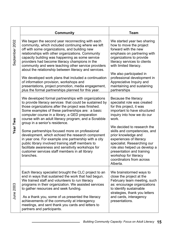|                | Community                                                                                                                                                                                                                                                                                                                                                                                                                                                                                                                                                                                                                                                                                                       | Team                                                                                                                                                                                                                                                                                                                                                                                         |
|----------------|-----------------------------------------------------------------------------------------------------------------------------------------------------------------------------------------------------------------------------------------------------------------------------------------------------------------------------------------------------------------------------------------------------------------------------------------------------------------------------------------------------------------------------------------------------------------------------------------------------------------------------------------------------------------------------------------------------------------|----------------------------------------------------------------------------------------------------------------------------------------------------------------------------------------------------------------------------------------------------------------------------------------------------------------------------------------------------------------------------------------------|
| September 2002 | We began the second year reconnecting with each<br>community, which included continuing where we left<br>off with some organizations, and building new<br>relationships with other organizations. Community<br>capacity building was happening as some service<br>providers had become literacy champions in the<br>community and were teaching other service providers<br>about the relationship between literacy and services.<br>We developed work plans that included a continuation<br>of information provision, workshops and<br>presentations, project promotion, media engagement,<br>plus the formal partnerships planned for this year.                                                               | We started year two sharing<br>how to move the project<br>forward with the new<br>emphasis on partnering with<br>organizations to provide<br>literacy services to clients<br>with limited literacy.<br>We also participated in<br>professional development in<br>Appreciative Inquiry and<br>maintaining and sustaining<br>partnerships                                                      |
| Year Two       | We developed formal partnerships with organizations<br>to provide literacy services that could be sustained by<br>those organizations after the project was finished.<br>Some examples of these partnerships are: a basic<br>computer course in a library, a GED preparation<br>course with an adult literacy program, and a Scrabble<br>group in a senior's residence.<br>Some partnerships focused more on professional<br>development, which echoed the research component<br>in year one. For example one partnership with a city<br>public library involved training staff members to<br>facilitate awareness and sensitivity workshops for<br>customer services staff members in all library<br>branches. | Because the literacy<br>specialist role was created<br>for this project, it was<br>important to have structured<br>inquiry into how we do our<br>work.<br>We decided to research the<br>skills and competencies, and<br>prior knowledge and<br>experiences of literacy<br>specialist. Researching our<br>role also helped us develop a<br>presentation and training<br>workshop for literacy |
| 2003<br>June   | Each literacy specialist brought the CLC project to an<br>end in ways that sustained the work that had begun.<br>We trained staff and volunteers to run literacy<br>programs in their organization. We assisted services<br>to gather resources and seek funding.<br>As a thank you, some of us presented the literacy<br>achievements of the community at interagency<br>meetings, and sent thank you cards and letters to<br>partners and participants.                                                                                                                                                                                                                                                       | coordinators from across<br>Alberta.<br>We brainstormed ways to<br>close the project at the<br>February team meeting, such<br>as: encourage organizations<br>to identify sustainable<br>strategies, thank you letters<br>and cards, interagency<br>presentations.                                                                                                                            |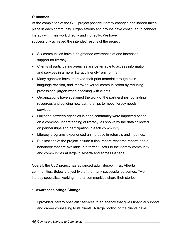#### <span id="page-20-0"></span>**Outcomes**

At the completion of the CLC project positive literacy changes had indeed taken place in each community. Organizations and groups have continued to connect literacy with their work directly and indirectly. We have successfully achieved the intended results of the project:

- Six communities have a heightened awareness of and increased support for literacy.
- Clients of participating agencies are better able to access information and services in a more "literacy friendly" environment.
- Many agencies have improved their print material through plain language revision, and improved verbal communication by reducing professional jargon when speaking with clients.
- Organizations have sustained the work of the partnerships, by finding resources and building new partnerships to meet literacy needs in services.
- Linkages between agencies in each community were improved based on a common understanding of literacy, as shown by the data collected on partnerships and participation in each community.
- Literacy programs experienced an increase in referrals and inquiries.
- Publications of the project include a final report, research reports and a handbook that are available in a format useful to the literacy community and communities at large in Alberta and across Canada.

Overall, the CLC project has advanced adult literacy in six Alberta communities. Below are just two of the many successful outcomes. Two literacy specialists working in rural communities share their stories:

#### **1. Awareness brings Change**

I provided literacy specialist services to an agency that gives financial support and career counseling to its clients. A large portion of the clients have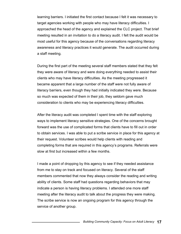learning barriers. I initiated the first contact because I felt it was necessary to target agencies working with people who may have literacy difficulties. I approached the head of the agency and explained the CLC project. That brief meeting resulted in an invitation to do a literacy audit. I felt the audit would be most useful for this agency because of the conversations regarding literacy awareness and literacy practices it would generate. The audit occurred during a staff meeting.

During the first part of the meeting several staff members stated that they felt they were aware of literacy and were doing everything needed to assist their clients who may have literacy difficulties. As the meeting progressed it became apparent that a large number of the staff were not fully aware of literacy barriers, even though they had initially indicated they were. Because so much was expected of them in their job, they seldom gave much consideration to clients who may be experiencing literacy difficulties.

After the literacy audit was completed I spent time with the staff exploring ways to implement literacy sensitive strategies. One of the concerns brought forward was the use of complicated forms that clients have to fill out in order to obtain services. I was able to put a scribe service in place for this agency at their request. Volunteer scribes would help clients with reading and completing forms that are required in this agency's programs. Referrals were slow at first but increased within a few months.

I made a point of dropping by this agency to see if they needed assistance from me to stay on track and focused on literacy. Several of the staff members commented that now they always consider the reading and writing ability of clients. Some staff had questions regarding behaviors that may indicate a person is having literacy problems. I attended one more staff meeting after the literacy audit to talk about the progress they were making. The scribe service is now an ongoing program for this agency through the service of another group.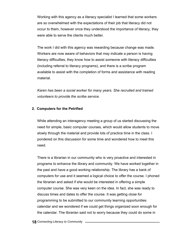Working with this agency as a literacy specialist I learned that some workers are so overwhelmed with the expectations of their job that literacy did not occur to them, however once they understood the importance of literacy, they were able to serve the clients much better.

The work I did with this agency was rewarding because change was made. Workers are now aware of behaviors that may indicate a person is having literacy difficulties, they know how to assist someone with literacy difficulties (including referral to literacy programs), and there is a scribe program available to assist with the completion of forms and assistance with reading material.

*Karen has been a social worker for many years. She recruited and trained volunteers to provide the scribe service.* 

#### **2. Computers for the Petrified**

While attending an interagency meeting a group of us started discussing the need for simple, basic computer courses, which would allow students to move slowly through the material and provide lots of practice time in the class. I pondered on this discussion for some time and wondered how to meet this need.

There is a librarian in our community who is very proactive and interested in programs to enhance the library and community. We have worked together in the past and have a good working relationship. The library has a bank of computers for use and it seemed a logical choice to offer the course. I phoned the librarian and asked if she would be interested in offering a simple computer course. She was very keen on the idea. In fact, she was ready to discuss times and dates to offer the course. It was getting close for programming to be submitted to our community learning opportunities calendar and we wondered if we could get things organized soon enough for the calendar. The librarian said not to worry because they could do some in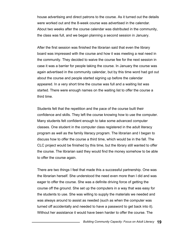house advertising and direct patrons to the course. As it turned out the details were worked out and the 8-week course was advertised in the calendar. About two weeks after the course calendar was distributed in the community, the class was full, and we began planning a second session in January.

After the first session was finished the librarian said that even the library board was impressed with the course and how it was meeting a real need in the community. They decided to waive the course fee for the next session in case it was a barrier for people taking the course. In January the course was again advertised in the community calendar, but by this time word had got out about the course and people started signing up before the calendar appeared. In a very short time the course was full and a waiting list was started. There were enough names on the waiting list to offer the course a third time.

Students felt that the repetition and the pace of the course built their confidence and skills. They left the course knowing how to use the computer. Many students felt confident enough to take some advanced computer classes. One student in the computer class registered in the adult literacy program as well as the family literacy program. The librarian and I began to discuss how to offer the course a third time, which would be in the fall. The CLC project would be finished by this time, but the library still wanted to offer the course. The librarian said they would find the money somehow to be able to offer the course again.

There are two things I feel that made this a successful partnership. One was the librarian herself. She understood the need even more than I did and was eager to offer the course. She was a definite driving force of getting the course off the ground. She set up the computers in a way that was easy for the students to use. She was willing to supply the materials we needed and was always around to assist as needed (such as when the computer was turned off accidentally and needed to have a password to get back into it). Without her assistance it would have been harder to offer the course. The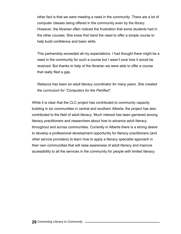other fact is that we were meeting a need in the community. There are a lot of computer classes being offered in the community even by the library. However, the librarian often noticed the frustration that some students had in the other courses. She knew first hand the need to offer a simple course to help build confidence and basic skills.

This partnership exceeded all my expectations. I had thought there might be a need in the community for such a course but I wasn't sure how it would be received. But thanks to help of the librarian we were able to offer a course that really filed a gap.

*Rebecca has been an adult literacy coordinator for many years. She created the curriculum for "Computers for the Petrified".* 

While it is clear that the CLC project has contributed to community capacity building in six communities in central and southern Alberta, the project has also contributed to the field of adult literacy. Much interest has been garnered among literacy practitioners and researchers about how to advance adult literacy throughout and across communities. Currently in Alberta there is a strong desire to develop a professional development opportunity for literacy practitioners (and other service providers) to learn how to apply a literacy specialist approach in their own communities that will raise awareness of adult literacy and improve accessibility to all the services in the community for people with limited literacy.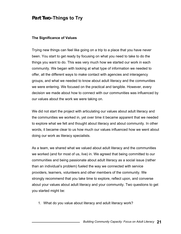## <span id="page-25-0"></span>**Part Two-Things to Try**

#### **The Significance of Values**

Trying new things can feel like going on a trip to a place that you have never been. You start to get ready by focusing on what you need to take to do the things you want to do. This was very much how we started our work in each community. We began with looking at what type of information we needed to offer, all the different ways to make contact with agencies and interagency groups, and what we needed to know about adult literacy and the communities we were entering. We focused on the practical and tangible. However, every decision we made about how to connect with our communities was influenced by our values about the work we were taking on.

We did not start the project with articulating our values about adult literacy and the communities we worked in, yet over time it became apparent that we needed to explore what we felt and thought about literacy and about community. In other words, it became clear to us how much our values influenced how we went about doing our work as literacy specialists.

As a team, we shared what we valued about adult literacy and the communities we worked (and for most of us, live) in. We agreed that being committed to our communities and being passionate about adult literacy as a social issue (rather than an individual's problem) fueled the way we connected with service providers, learners, volunteers and other members of the community. We strongly recommend that you take time to explore, reflect upon, and converse about your values about adult literacy and your community. Two questions to get you started might be:

1. What do you value about literacy and adult literacy work?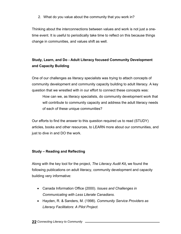<span id="page-26-0"></span>2. What do you value about the community that you work in?

Thinking about the interconnections between values and work is not just a onetime event. It is useful to periodically take time to reflect on this because things change in communities, and values shift as well.

### **Study, Learn, and Do - Adult Literacy focused Community Development and Capacity Building**

One of our challenges as literacy specialists was trying to attach concepts of community development and community capacity building to adult literacy. A key question that we wrestled with in our effort to connect these concepts was:

How can we, as literacy specialists, do community development work that will contribute to community capacity and address the adult literacy needs of each of these unique communities?

Our efforts to find the answer to this question required us to read (STUDY) articles, books and other resources, to LEARN more about our communities, and just to dive in and DO the work.

#### **Study – Reading and Reflecting**

Along with the key tool for the project, *The Literacy Audit Kit***,** we found the following publications on adult literacy, community development and capacity building very informative:

- Canada Information Office (2000). *Issues and Challenges in Communicating with Less Literate Canadians.*
- Hayden, R. & Sanders, M. (1998). *Community Service Providers as Literacy Facilitators: A Pilot Project.*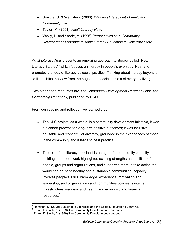- Smythe, S. & Weinstein. (2000). *Weaving Literacy into Family and Community Life.*
- Taylor, M. (2001). *Adult Literacy Now.*
- Vasily, L. and Steele, V. (1996) *Perspectives on a Community Development Approach to Adult Literacy Education in New York State.*

*Adult Literacy Now* presents an emerging approach to literacy called "New Literacy Studies"<sup>3</sup> which focuses on literacy in people's everyday lives, and promotes the idea of literacy as social practice. Thinking about literacy beyond a skill set shifts the view from the page to the social context of everyday living.

Two other good resources are *The Community Development Handbook* and *The Partnership Handbook,* published by HRDC.

From our reading and reflection we learned that:

- The CLC project, as a whole, is a community development initiative, it was a planned process for long-term positive outcomes; it was inclusive, equitable and respectful of diversity, grounded in the experiences of those in the community and it leads to best practice. $4$
- The role of the literacy specialist is an agent for community capacity building in that our work highlighted existing strengths and abilities of people, groups and organizations, and supported them to take action that would contribute to healthy and sustainable communities; capacity involves people's skills, knowledge, experience, motivation and leadership, and organizations and communities policies, systems, infrastructure, wellness and health, and economic and financial resources.<sup>5</sup>

 3 Hamilton, M. (2000) Sustainable Literacies and the Ecology of Lifelong Learning.

<sup>4</sup> Frank, F. Smith, A. (1999) The Community Development Handbook.

<sup>&</sup>lt;sup>5</sup> Frank, F. Smith, A. (1999) The Community Development Handbook.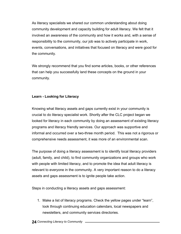<span id="page-28-0"></span>As literacy specialists we shared our common understanding about doing community development and capacity building for adult literacy. We felt that it involved an awareness of the community and how it works and, with a sense of responsibility to the community, our job was to actively participate in work, events, conversations, and initiatives that focused on literacy and were good for the community.

We strongly recommend that you find some articles, books, or other references that can help you successfully land these concepts on the ground in your community.

#### **Learn - Looking for Literacy**

Knowing what literacy assets and gaps currently exist in your community is crucial to do literacy specialist work. Shortly after the CLC project began we looked for literacy in each community by doing an assessment of existing literacy programs and literacy friendly services. Our approach was supportive and informal and occurred over a two-three month period. This was not a rigorous or comprehensive needs assessment, it was more of an environmental scan.

The purpose of doing a literacy assessment is to identify local literacy providers (adult, family, and child), to find community organizations and groups who work with people with limited literacy, and to promote the idea that adult literacy is relevant to everyone in the community. A very important reason to do a literacy assets and gaps assessment is to ignite people take action.

Steps in conducting a literacy assets and gaps assessment:

1. Make a list of literacy programs. Check the yellow pages under "learn", look through continuing education calendars, local newspapers and newsletters, and community services directories.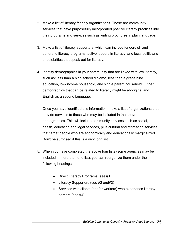- 2. Make a list of literacy friendly organizations. These are community services that have purposefully incorporated positive literacy practices into their programs and services such as writing brochures in plain language.
- 3. Make a list of literacy supporters, which can include funders of and donors to literacy programs, active leaders in literacy, and local politicians or celebrities that speak out for literacy.
- 4. Identify demographics in your community that are linked with low literacy, such as: less than a high school diploma, less than a grade nine education, low-income household, and single parent household. Other demographics that can be related to literacy might be aboriginal and English as a second language.

Once you have identified this information, make a list of organizations that provide services to those who may be included in the above demographics. This will include community services such as social, health, education and legal services, plus cultural and recreation services that target people who are economically and educationally marginalized. Don't be surprised if this is a very long list.

- 5. When you have completed the above four lists (some agencies may be included in more than one list), you can reorganize them under the following headings:
	- Direct Literacy Programs (see #1)
	- Literacy Supporters (see #2 and#3)
	- Services with clients (and/or workers) who experience literacy barriers (see #4)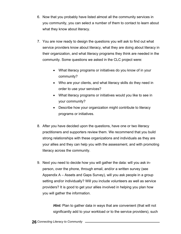- 6. Now that you probably have listed almost all the community services in you community, you can select a number of them to contact to learn about what they know about literacy.
- 7. You are now ready to design the questions you will ask to find out what service providers know about literacy, what they are doing about literacy in their organization, and what literacy programs they think are needed in the community. Some questions we asked in the CLC project were:
	- What literacy programs or initiatives do you know of in your community?
	- Who are your clients, and what literacy skills do they need in order to use your services?
	- What literacy programs or initiatives would you like to see in your community?
	- Describe how your organization might contribute to literacy programs or initiatives.
- 8. After you have decided upon the questions, have one or two literacy practitioners and supporters review them. We recommend that you build strong relationships with these organizations and individuals as they are your allies and they can help you with the assessment, and with promoting literacy across the community.
- 9. Next you need to decide how you will gather the data: will you ask inperson, over the phone, through email, and/or a written survey (see Appendix A – Assets and Gaps Survey), will you ask people in a group setting and/or individually? Will you include volunteers as well as service providers? It is good to get your allies involved in helping you plan how you will gather the information.

*Hint:* Plan to gather data in ways that are convenient (that will not significantly add to your workload or to the service providers), such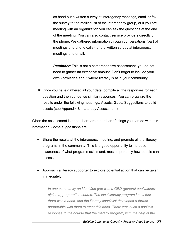as hand out a written survey at interagency meetings, email or fax the survey to the mailing list of the interagency group, or if you are meeting with an organization you can ask the questions at the end of the meeting. You can also contact service providers directly on the phone. We gathered information through conversations (part of meetings and phone calls), and a written survey at interagency meetings and email.

*Reminder:* This is not a comprehensive assessment, you do not need to gather an extensive amount. Don't forget to include your own knowledge about where literacy is at in your community.

10. Once you have gathered all your data, compile all the responses for each question and then condense similar responses. You can organize the results under the following headings: Assets, Gaps, Suggestions to build assets (see Appendix B – Literacy Assessment).

When the assessment is done, there are a number of things you can do with this information. Some suggestions are:

- Share the results at the interagency meeting, and promote all the literacy programs in the community. This is a good opportunity to increase awareness of what programs exists and, most importantly how people can access them.
- Approach a literacy supporter to explore potential action that can be taken immediately.

*In one community an identified gap was a GED (general equivalency diploma) preparation course. The local literacy program knew that there was a need, and the literacy specialist developed a formal partnership with them to meet this need. There was such a positive response to the course that the literacy program, with the help of the*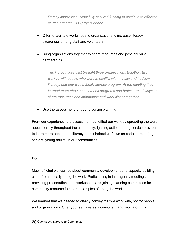<span id="page-32-0"></span>*literacy specialist successfully secured funding to continue to offer the course after the CLC project ended.* 

- Offer to facilitate workshops to organizations to increase literacy awareness among staff and volunteers.
- Bring organizations together to share resources and possibly build partnerships.

*The literacy specialist brought three organizations together: two worked with people who were in conflict with the law and had low literacy, and one was a family literacy program. At the meeting they learned more about each other's programs and brainstormed ways to share resources and information and work closer together.* 

• Use the assessment for your program planning.

From our experience, the assessment benefited our work by spreading the word about literacy throughout the community, igniting action among service providers to learn more about adult literacy, and it helped us focus on certain areas (e.g. seniors, young adults) in our communities.

#### **Do**

Much of what we learned about community development and capacity building came from actually doing the work. Participating in interagency meetings, providing presentations and workshops, and joining planning committees for community resource fairs, are examples of doing the work.

We learned that we needed to clearly convey that we work with, not for people and organizations. Offer your services as a consultant and facilitator. It is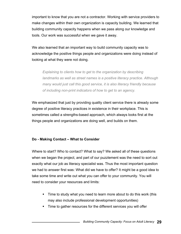<span id="page-33-0"></span>important to know that you are not a contractor. Working with service providers to make changes within their own organization is capacity building. We learned that building community capacity happens when we pass along our knowledge and tools. Our work was successful when we gave it away.

We also learned that an important way to build community capacity was to acknowledge the positive things people and organizations were doing instead of looking at what they were not doing.

*Explaining to clients how to get to the organization by describing landmarks as well as street names is a positive literacy practice. Although many would just call this good service, it is also literacy friendly because of including non-print indicators of how to get to an agency.* 

We emphasized that just by providing quality client service there is already some degree of positive literacy practices in existence in their workplace. This is sometimes called a strengths-based approach, which always looks first at the things people and organizations are doing well, and builds on them.

#### **Do - Making Contact – What to Consider**

Where to start? Who to contact? What to say? We asked all of these questions when we began the project, and part of our puzzlement was the need to sort out exactly what our job as literacy specialist was. Thus the most important question we had to answer first was: What did we have to offer? It might be a good idea to take some time and write out what you can offer to your community. You will need to consider your resources and limits:

- Time to study what you need to learn more about to do this work (this may also include professional development opportunities)
- Time to gather resources for the different services you will offer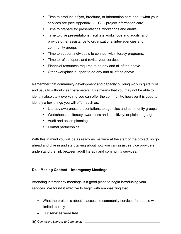- Time to produce a flyer, brochure, or information card about what your services are (see Appendix C – CLC project information card)
- Time to prepare for presentations, workshops and audits
- Time to give presentations, facilitate workshops and audits, and provide other assistance to organizations, inter-agencies and community groups
- **Time to support individuals to connect with literacy programs.**
- Time to reflect upon, and revise your services
- Financial resources required to do any and all of the above
- Other workplace support to do any and all of the above

Remember that community development and capacity building work is quite fluid and usually without clear parameters. This means that you may not be able to identify absolutely everything you can offer the community, however it is good to identify a few things you will offer, such as:

- **EXECUTE:** Literacy awareness presentations to agencies and community groups
- Workshops on literacy awareness and sensitivity, or plain language
- Audit and action planning
- Formal partnerships

With this in mind you will be as ready as we were at the start of the project, so go ahead and dive in and start talking about how you can assist service providers understand the link between adult literacy and community services.

#### **Do – Making Contact - Interagency Meetings**

Attending interagency meetings is a good place to begin introducing your services. We found it effective to begin with emphasizing that:

- What the project is about is access to community services for people with limited literacy
- Our services were free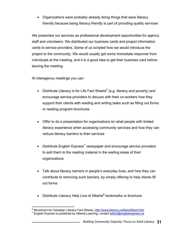• Organizations were probably already doing things that were literacy friendly because being literacy friendly is part of providing quality services

We presented our services as professional development opportunities for agency staff and volunteers. We distributed our business cards and project information cards to service providers. Some of us scripted how we would introduce the project to the community. We would usually get some immediate response from individuals at the meeting, and it is a good idea to get their business card before leaving the meeting.

At interagency meetings you can:

- Distribute Literacy is for Life Fact Sheets $^6$  (e.g. literacy and poverty) and encourage service providers to discuss with their co-workers how they support their clients with reading and writing tasks such as filling out forms or reading program brochures
- Offer to do a presentation for organizations on what people with limited literacy experience when accessing community services and how they can reduce literacy barriers to their services
- Distribute English Express<sup>7</sup> newspaper and encourage service providers to add them to the reading material in the waiting areas of their organizations
- Talk about literacy barriers in people's everyday lives, and how they can contribute to removing such barriers, by simply offering to help clients fill out forms
- Distribute Literacy Help Line of Alberta $8$  bookmarks or brochure

 $\overline{a}$ <sup>6</sup> Movement for Canadian Literacy Fact Sheets, http://www.literacy.ca/litand/litand.htm<br>7 English Express is published by Alberta Learning, contact editor@englishexpress.co. <sup>7</sup> English Express is published by Alberta Learning, contact [editor@englishexpress.ca](mailto:editor@englishexpress.ca)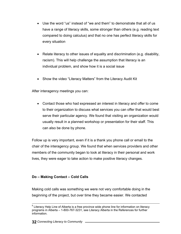- Use the word "us" instead of "we and them" to demonstrate that all of us have a range of literacy skills, some stronger than others (e.g. reading text compared to doing calculus) and that no one has perfect literacy skills for every situation
- Relate literacy to other issues of equality and discrimination (e.g. disability, racism). This will help challenge the assumption that literacy is an individual problem, and show how it is a social issue
- Show the video "Literacy Matters" from the Literacy Audit Kit

After interagency meetings you can:

• Contact those who had expressed an interest in literacy and offer to come to their organization to discuss what services you can offer that would best serve their particular agency. We found that visiting an organization would usually result in a planned workshop or presentation for their staff. This can also be done by phone.

Follow up is very important, even if it is a thank you phone call or email to the chair of the interagency group. We found that when services providers and other members of the community began to look at literacy in their personal and work lives, they were eager to take action to make positive literacy changes.

# **Do – Making Contact – Cold Calls**

Making cold calls was something we were not very comfortable doing in the beginning of the project, but over time they became easier. We contacted

enderse Literacy Help Line of Alberta is a free province wide phone line for information on literacy<br>Butteracy Help Line of Alberta is a free province wide phone line for information on literacy programs in Alberta – 1-800-767-3231, see Literacy Alberta in the References for further information.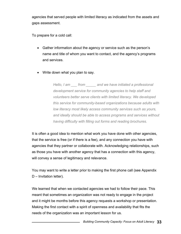agencies that served people with limited literacy as indicated from the assets and gaps assessment.

To prepare for a cold call:

- Gather information about the agency or service such as the person's name and title of whom you want to contact, and the agency's programs and services.
- Write down what you plan to say.

*Hello, I am \_\_\_ from \_\_\_\_\_ and we have initiated a professional development service for community agencies to help staff and volunteers better serve clients with limited literacy. We developed this service for community-based organizations because adults with low literacy most likely access community services such as yours, and ideally should be able to access programs and services without having difficulty with filling out forms and reading brochures.* 

It is often a good idea to mention what work you have done with other agencies, that the service is free (or if there is a fee), and any connection you have with agencies that they partner or collaborate with. Acknowledging relationships, such as those you have with another agency that has a connection with this agency, will convey a sense of legitimacy and relevance.

You may want to write a letter prior to making the first phone call (see Appendix D – Invitation letter).

We learned that when we contacted agencies we had to follow their pace. This meant that sometimes an organization was not ready to engage in the project and it might be months before this agency requests a workshop or presentation. Making the first contact with a spirit of openness and availability that fits the needs of the organization was an important lesson for us.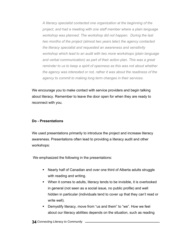*A literacy specialist contacted one organization at the beginning of the project, and had a meeting with one staff member where a plain language workshop was planned. The workshop did not happen. During the last two months of the project (almost two years later) the agency contacted the literacy specialist and requested an awareness and sensitivity workshop which lead to an audit with two more workshops (plain language and verbal communication) as part of their action plan. This was a great reminder to us to keep a spirit of openness as this was not about whether the agency was interested or not, rather it was about the readiness of the agency to commit to making long term changes in their services.* 

We encourage you to make contact with service providers and begin talking about literacy. Remember to leave the door open for when they are ready to reconnect with you.

# **Do - Presentations**

We used presentations primarily to introduce the project and increase literacy awareness. Presentations often lead to providing a literacy audit and other workshops:

We emphasized the following in the presentations:

- Nearly half of Canadian and over one third of Alberta adults struggle with reading and writing.
- When it comes to adults, literacy tends to be invisible, it is overlooked in general (not seen as a social issue, no public profile) and well hidden in particular (individuals tend to cover up that they can't read or write well).
- Demystify literacy, move from "us and them" to "we". How we feel about our literacy abilities depends on the situation, such as reading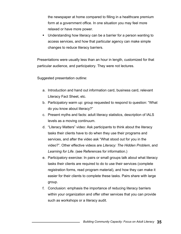the newspaper at home compared to filling in a healthcare premium form at a government office. In one situation you may feel more relaxed or have more power.

 Understanding how literacy can be a barrier for a person wanting to access services, and how that particular agency can make simple changes to reduce literacy barriers.

Presentations were usually less than an hour in length, customized for that particular audience, and participatory. They were not lectures.

Suggested presentation outline:

- a. Introduction and hand out information card, business card, relevant Literacy Fact Sheet, etc.
- b. Participatory warm up: group requested to respond to question: "What do you know about literacy?"
- c. Present myths and facts: adult literacy statistics, description of IALS levels as a moving continuum.
- d. "Literacy Matters" video: Ask participants to think about the literacy tasks their clients have to do when they use their programs and services, and after the video ask "What stood out for you in the video?". Other effective videos are *Literacy: The Hidden Problem*, and *Learning for Life*. (see References for information.)
- e. Participatory exercise: In pairs or small groups talk about what literacy tasks their clients are required to do to use their services (complete registration forms, read program material), and how they can make it easier for their clients to complete these tasks. Pairs share with large group.
- f. Conclusion: emphasis the importance of reducing literacy barriers within your organization and offer other services that you can provide such as workshops or a literacy audit.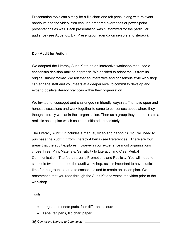Presentation tools can simply be a flip chart and felt pens, along with relevant handouts and the video. You can use prepared overheads or power-point presentations as well. Each presentation was customized for the particular audience (see Appendix E - Presentation agenda on seniors and literacy).

# **Do - Audit for Action**

We adapted the Literacy Audit Kit to be an interactive workshop that used a consensus decision-making approach. We decided to adapt the kit from its original survey format. We felt that an interactive and consensus style workshop can engage staff and volunteers at a deeper level to commit to develop and expand positive literacy practices within their organization.

We invited, encouraged and challenged (in friendly ways) staff to have open and honest discussions and work together to come to consensus about where they thought literacy was at in their organization. Then as a group they had to create a realistic action plan which could be initiated immediately.

The Literacy Audit Kit includes a manual, video and handouts. You will need to purchase the Audit Kit from Literacy Alberta (see References). There are four areas that the audit explores, however in our experience most organizations chose three: Print Materials, Sensitivity to Literacy, and Clear Verbal Communication. The fourth area is Promotions and Publicity. You will need to schedule two hours to do the audit workshop, as it is important to have sufficient time for the group to come to consensus and to create an action plan. We recommend that you read through the Audit Kit and watch the video prior to the workshop.

Tools:

- Large post-it note pads, four different colours
- Tape, felt pens, flip chart paper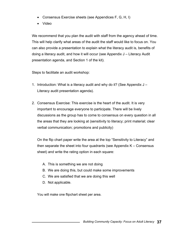- Consensus Exercise sheets (see Appendices F, G, H, I)
- Video

We recommend that you plan the audit with staff from the agency ahead of time. This will help clarify what areas of the audit the staff would like to focus on. You can also provide a presentation to explain what the literacy audit is, benefits of doing a literacy audit, and how it will occur (see Appendix J – Literacy Audit presentation agenda, and Section 1 of the kit).

Steps to facilitate an audit workshop:

- 1. Introduction: What is a literacy audit and why do it? (See Appendix J Literacy audit presentation agenda).
- 2. Consensus Exercise: This exercise is the heart of the audit. It is very important to encourage everyone to participate. There will be lively discussions as the group has to come to consensus on every question in all the areas that they are looking at (sensitivity to literacy; print material; clear verbal communication; promotions and publicity)

On the flip chart paper write the area at the top "Sensitivity to Literacy" and then separate the sheet into four quadrants (see Appendix K – Consensus sheet) and write the rating option in each square:

- A. This is something we are not doing
- B. We are doing this, but could make some improvements
- C. We are satisfied that we are doing this well
- D. Not applicable.

You will make one flipchart sheet per area.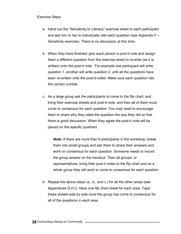### Exercise Steps

- a. Hand out the "Sensitivity to Literacy" exercise sheet to each participant and ask him or her to individually rate each question (see Appendix F – Sensitivity exercise). There is no discussion at this time.
- b. When they have finished, give each person a post-it note and assign them a different question from the exercise sheet to re-write (as it is written) onto the post-it note. For example one participant will write question 1, another will write question 2, until all the questions have been re-written onto the post-it-notes. Make sure each question has the correct number.
- c. As a large group ask the participants to come to the flip chart, and bring their exercise sheets and post-it-note, and then all of them must come to consensus for each question. You may need to encourage them to share why they rated the question the way they did so that there is good discussion. When they agree the post-it note will be placed on the specific quadrant.

*Note:* If there are more than 8 participants in the workshop, break them into small groups and ask them to share their answers and work on consensus for each question. Someone needs to record the group answer on the handout. Then all groups, or representatives, bring their post-it notes to the flip chart and as a whole group they will work to come to consensus for each question.

d Repeat the above steps (a., b., and c.) for all the other areas (see Appendices G,H,I). Have one flip chart sheet for each area. Tape these sheets side by side once the group has come to consensus for all of the questions in each area.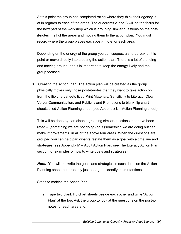At this point the group has completed rating where they think their agency is at in regards to each of the areas. The quadrants A and B will be the focus for the next part of the workshop which is grouping similar questions on the postit-notes in all of the areas and moving them to the action plan. You must record where the group places each post-it note for each area.

Depending on the energy of the group you can suggest a short break at this point or move directly into creating the action plan. There is a lot of standing and moving around, and it is important to keep the energy lively and the group focused.

3. Creating the Action Plan: The action plan will be created as the group physically moves only those post-it-notes that they want to take action on from the flip chart sheets titled Print Materials, Sensitivity to Literacy, Clear Verbal Communication, and Publicity and Promotions to blank flip chart sheets titled Action Planning sheet (see Appendix L – Action Planning sheet).

This will be done by participants grouping similar questions that have been rated A (something we are not doing) or B (something we are doing but can make improvements) in all of the above four areas. When the questions are grouped you can help participants restate them as a goal with a time line and strategies (see Appendix M – Audit Action Plan, see The Literacy Action Plan section for examples of how to write goals and strategies).

*Note:* You will not write the goals and strategies in such detail on the Action Planning sheet, but probably just enough to identify their intentions.

Steps to making the Action Plan:

a. Tape two blank flip chart sheets beside each other and write "Action Plan" at the top. Ask the group to look at the questions on the post-itnotes for each area and: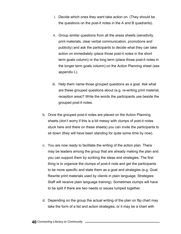- i. Decide which ones they want take action on. (They should be the questions on the post-it notes in the A and B quadrants).
- ii. Group similar questions from all the areas sheets (sensitivity, print materials, clear verbal communication, promotions and publicity) and ask the participants to decide what they can take action on immediately (place those post-it notes in the short term goals column) or the long term (place those post-it notes in the longer term goals column) on the Action Planning sheet (see appendix L).
- iii. Help them name those grouped questions as a goal. Ask what are these grouped questions about (e.g. re-writing print material, reception area)? Write the words the participants use beside the grouped post-it notes.
- b. Once the grouped post-it notes are placed on the Action Planning sheets (don't worry if this is a bit messy with clumps of post-it notes stuck here and there on these sheets) you can invite the participants to sit down (they will have been standing for quite some time by now).
- c. You are now ready to facilitate the writing of the action plan. There may be leaders among the group that are already making the plan and you can support them by scribing the ideas and strategies. The first thing is to organize the clumps of post-it note and get the participants to be more specific and state them as a goal and strategies (e.g. Goal: Rewrite print materials used by clients in plain language; Strategies: Staff will receive plain language training). Sometimes clumps will have to be split if there are two needs or issues lumped together.
- d. Depending on the group the actual writing of the plan on flip chart may take the form of a list and action strategies, or it may be a chart with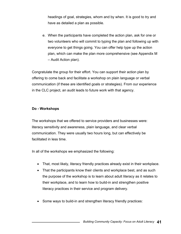headings of goal, strategies, whom and by when. It is good to try and have as detailed a plan as possible.

e. When the participants have completed the action plan, ask for one or two volunteers who will commit to typing the plan and following up with everyone to get things going. You can offer help type up the action plan, which can make the plan more comprehensive (see Appendix M – Audit Action plan).

Congratulate the group for their effort. You can support their action plan by offering to come back and facilitate a workshop on plain language or verbal communication (if these are identified goals or strategies). From our experience in the CLC project, an audit leads to future work with that agency.

# **Do - Workshops**

The workshops that we offered to service providers and businesses were: literacy sensitivity and awareness, plain language, and clear verbal communication. They were usually two hours long, but can effectively be facilitated in less time.

In all of the workshops we emphasized the following:

- That, most likely, literacy friendly practices already exist in their workplace.
- That the participants know their clients and workplace best, and as such the purpose of the workshop is to learn about adult literacy as it relates to their workplace, and to learn how to build-in and strengthen positive literacy practices in their service and program delivery.
- Some ways to build-in and strengthen literacy friendly practices: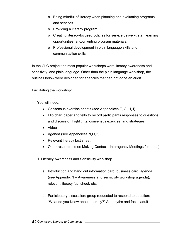- o Being mindful of literacy when planning and evaluating programs and services
- o Providing a literacy program
- o Creating literacy-focused policies for service delivery, staff learning opportunities, and/or writing program materials.
- o Professional development in plain language skills and communication skills

In the CLC project the most popular workshops were literacy awareness and sensitivity, and plain language. Other than the plain language workshop, the outlines below were designed for agencies that had not done an audit.

Facilitating the workshop:

You will need:

- Consensus exercise sheets (see Appendices F, G, H, I)
- Flip chart paper and felts to record participants responses to questions and discussion highlights, consensus exercise, and strategies
- Video
- Agenda (see Appendices N,O,P)
- Relevant literacy fact sheet
- Other resources (see Making Contact –Interagency Meetings for ideas)
- 1. Literacy Awareness and Sensitivity workshop
	- a. Introduction and hand out information card, business card, agenda (see Appendix N – Awareness and sensitivity workshop agenda), relevant literacy fact sheet, etc.
	- b. Participatory discussion: group requested to respond to question: "What do you Know about Literacy?" Add myths and facts, adult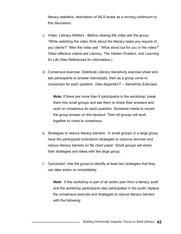literacy statistics, description of IALS levels as a moving continuum to this discussion.

- c. Video: Literacy Matters Before viewing the video ask the group: "While watching the video think about the literacy tasks you require of you clients?" After the video ask " What stood out for you in the video?" Other effective videos are *Literacy: The Hidden Problem*, and *Learning for Life* (See References for information.).
- d. Consensus exercise: Distribute Literacy Sensitivity exercise sheet and ask participants to answer individually, then as a group come to consensus for each question. (See Appendix F – Sensitivity Exercise).

*Note:* If there are more than 8 participants in the workshop, break them into small groups and ask them to share their answers and work on consensus for each question. Someone needs to record the group answer on the handout. Then all groups will work together to come to consensus.

- e. Strategies to reduce literacy barriers: In small groups or a large group have the participants brainstorm strategies to improve services and reduce literacy barriers on flip chart paper. Small groups will share their strategies and ideas with the large group.
- f. Conclusion: Ask the group to identify at least two strategies that they can take action on immediately.

*Note*: If this workshop is part of an action plan from a literacy audit and the workshop participants also participated in the audit, replace the consensus exercise and strategies to reduce literacy barriers with the following: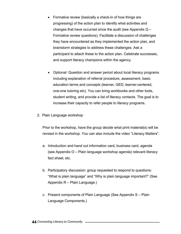- Formative review (basically a check-in of how things are progressing) of the action plan to identify what activities and changes that have occurred since the audit (see Appendix  $Q -$ Formative review questions). Facilitate a discussion of challenges they have encountered as they implemented the action plan, and brainstorm strategies to address these challenges. Ask a participant to attach these to the action plan. Celebrate successes, and support literacy champions within the agency.
- Optional: Question and answer period about local literacy programs including explanation of referral procedure, assessment, basic education terms and concepts (learner, GED, learner-centered, one-one tutoring etc). You can bring workbooks and other tools, student writing, and provide a list of literacy contacts. The goal is to increase their capacity to refer people to literacy programs.
- 2. Plain Language workshop

Prior to the workshop, have the group decide what print material(s) will be revised in the workshop. You can also include the video "Literacy Matters".

- a. Introduction and hand out information card, business card, agenda (see Appendix O – Plain language workshop agenda) relevant literacy fact sheet, etc.
- b. Participatory discussion: group requested to respond to questions: "What is plain language" and "Why is plain language important?" (See Appendix R – Plain Language.)
- c. Present components of Plain Language (See Appendix S Plain Language Components.)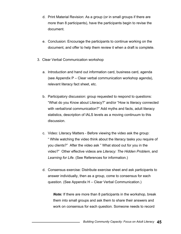- d. Print Material Revision: As a group (or in small groups if there are more than 8 participants), have the participants begin to revise the document.
- e. Conclusion: Encourage the participants to continue working on the document, and offer to help them review it when a draft is complete.
- 3. Clear Verbal Communication workshop
	- a. Introduction and hand out information card, business card, agenda (see Appendix P – Clear verbal communication workshop agenda), relevant literacy fact sheet, etc.
	- b. Participatory discussion: group requested to respond to questions: "What do you Know about Literacy?" and/or "How is literacy connected with verbal/oral communication?" Add myths and facts, adult literacy statistics, description of IALS levels as a moving continuum to this discussion.
	- c. Video: Literacy Matters Before viewing the video ask the group: " While watching the video think about the literacy tasks you require of you clients?" After the video ask " What stood out for you in the video?" Other effective videos are *Literacy: The Hidden Problem*, and *Learning for Life*. (See References for information.)
	- d. Consensus exercise: Distribute exercise sheet and ask participants to answer individually, then as a group, come to consensus for each question. (See Appendix H – Clear Verbal Communication.)

*Note:* If there are more than 8 participants in the workshop, break them into small groups and ask them to share their answers and work on consensus for each question. Someone needs to record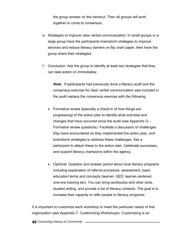the group answer on the handout. Then all groups will work together to come to consensus.

- e. Strategies to improve clear verbal communication: In small groups or a large group have the participants brainstorm strategies to improve services and reduce literacy barriers on flip chart paper, then have the group share their strategies.
- f. Conclusion: Ask the group to identify at least two strategies that they can take action on immediately.

*Note*: If participants had previously done a literacy audit and the consensus exercise for clear verbal communication was included in the audit replace the consensus exercise with the following:

- Formative review (basically a check-in of how things are progressing) of the action plan to identify what activities and changes that have occurred since the audit (see Appendix Q – Formative review questions). Facilitate a discussion of challenges they have encountered as they implemented the action plan, and brainstorm strategies to address these challenges. Ask a participant to attach these to the action plan. Celebrate successes, and support literacy champions within the agency.
- Optional: Question and answer period about local literacy programs including explanation of referral procedure, assessment, basic education terms and concepts (learner, GED, learner-centered, one-one tutoring etc). You can bring workbooks and other tools, student writing, and provide a list of literacy contacts. The goal is to increase their capacity to refer people to literacy programs.

It is important to customize each workshop to meet the particular needs of that organization (see Appendix T- Customizing Workshops). Customizing is an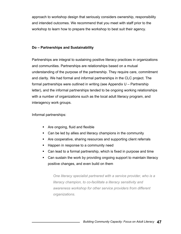approach to workshop design that seriously considers ownership, responsibility and intended outcomes. We recommend that you meet with staff prior to the workshop to learn how to prepare the workshop to best suit their agency.

# **Do – Partnerships and Sustainability**

Partnerships are integral to sustaining positive literacy practices in organizations and communities. Partnerships are relationships based on a mutual understanding of the purpose of the partnership. They require care, commitment and clarity. We had formal and informal partnerships in the CLC project. The formal partnerships were outlined in writing (see Appendix U – Partnership letter), and the informal partnerships tended to be ongoing working relationships with a number of organizations such as the local adult literacy program, and interagency work groups.

Informal partnerships:

- Are ongoing, fluid and flexible
- Can be led by allies and literacy champions in the community
- Are cooperative, sharing resources and supporting client referrals
- **Happen in response to a community need**
- Can lead to a formal partnership, which is fixed in purpose and time
- Can sustain the work by providing ongoing support to maintain literacy positive changes, and even build on them

*One literacy specialist partnered with a service provider, who is a literacy champion, to co-facilitate a literacy sensitivity and awareness workshop for other service providers from different organizations.*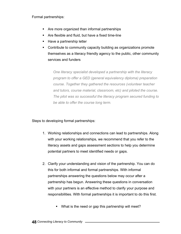Formal partnerships:

- **Are more organized than informal partnerships**
- Are flexible and fluid, but have a fixed time-line
- Have a partnership letter
- Contribute to community capacity building as organizations promote themselves as a literacy friendly agency to the public, other community services and funders

*One literacy specialist developed a partnership with the literacy program to offer a GED (general equivalency diploma) preparation course. Together they gathered the resources (volunteer teacher and tutors, course material, classroom, etc) and piloted the course. The pilot was so successful the literacy program secured funding to be able to offer the course long term.* 

Steps to developing formal partnerships:

- 1. Working relationships and connections can lead to partnerships. Along with your working relationships, we recommend that you refer to the literacy assets and gaps assessment sections to help you determine potential partners to meet identified needs or gaps.
- 2. Clarify your understanding and vision of the partnership. You can do this for both informal and formal partnerships. With informal partnerships answering the questions below may occur after a partnership has begun. Answering these questions in conversation with your partners is an effective method to clarify your purpose and responsibilities. With formal partnerships it is important to do this first.
	- What is the need or gap this partnership will meet?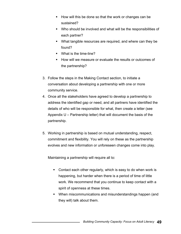- How will this be done so that the work or changes can be sustained?
- Who should be involved and what will be the responsibilities of each partner?
- What tangible resources are required, and where can they be found?
- **What is the time-line?**
- **How will we measure or evaluate the results or outcomes of** the partnership?
- 3. Follow the steps in the Making Contact section, to initiate a conversation about developing a partnership with one or more community service.
- 4. Once all the stakeholders have agreed to develop a partnership to address the identified gap or need, and all partners have identified the details of who will be responsible for what, then create a letter (see Appendix U – Partnership letter) that will document the basis of the partnership.
- 5. Working in partnership is based on mutual understanding, respect, commitment and flexibility. You will rely on these as the partnership evolves and new information or unforeseen changes come into play.

Maintaining a partnership will require all to:

- Contact each other regularly, which is easy to do when work is happening, but harder when there is a period of time of little work. We recommend that you continue to keep contact with a spirit of openness at these times.
- When miscommunications and misunderstandings happen (and they will) talk about them.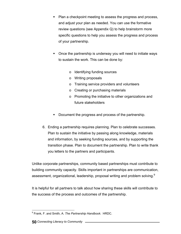- Plan a checkpoint meeting to assess the progress and process, and adjust your plan as needed. You can use the formative review questions (see Appendix Q) to help brainstorm more specific questions to help you assess the progress and process of your partnership.
- Once the partnership is underway you will need to initiate ways to sustain the work. This can be done by:
	- o Identifying funding sources
	- o Writing proposals
	- o Training service providers and volunteers
	- o Creating or purchasing materials
	- o Promoting the initiative to other organizations and future stakeholders
- Document the progress and process of the partnership.
- 6. Ending a partnership requires planning. Plan to celebrate successes. Plan to sustain the initiative by passing along knowledge, materials and information, by seeking funding sources, and by supporting the transition phase. Plan to document the partnership. Plan to write thank you letters to the partners and participants.

Unlike corporate partnerships, community based partnerships must contribute to building community capacity. Skills important in partnerships are communication, assessment, organizational, leadership, proposal writing and problem solving.<sup>9</sup>

It is helpful for all partners to talk about how sharing these skills will contribute to the success of the process and outcomes of the partnership.

 9 Frank, F. and Smith, A. *The Partnership Handbook*. HRDC.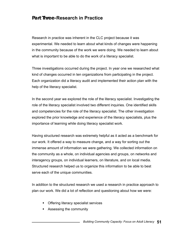# **Part Three-Research in Practice**

Research in practice was inherent in the CLC project because it was experimental. We needed to learn about what kinds of changes were happening in the community because of the work we were doing. We needed to learn about what is important to be able to do the work of a literacy specialist.

Three investigations occurred during the project. In year one we researched what kind of changes occurred in ten organizations from participating in the project. Each organization did a literacy audit and implemented their action plan with the help of the literacy specialist.

In the second year we explored the role of the literacy specialist. Investigating the role of the literacy specialist involved two different inquiries. One identified skills and competencies for the role of the literacy specialist. The other investigation explored the prior knowledge and experience of the literacy specialists, plus the importance of learning while doing literacy specialist work.

Having structured research was extremely helpful as it acted as a benchmark for our work. It offered a way to measure change, and a way for sorting out the immense amount of information we were gathering. We collected information on the community as a whole, on individual agencies and groups, on networks and interagency groups, on individual learners, on literature, and on local media. Structured research helped us to organize this information to be able to best serve each of the unique communities.

In addition to the structured research we used a research in practice approach to plan our work. We did a lot of reflection and questioning about how we were:

- **Offering literacy specialist services**
- Assessing the community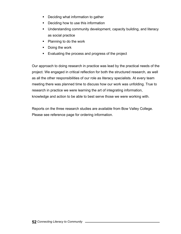- Deciding what information to gather
- Deciding how to use this information
- **Understanding community development, capacity building, and literacy** as social practice
- Planning to do the work
- Doing the work
- **Evaluating the process and progress of the project**

Our approach to doing research in practice was lead by the practical needs of the project. We engaged in critical reflection for both the structured research, as well as all the other responsibilities of our role as literacy specialists. At every team meeting there was planned time to discuss how our work was unfolding. True to research in practice we were learning the art of integrating information, knowledge and action to be able to best serve those we were working with.

Reports on the three research studies are available from Bow Valley College. Please see reference page for ordering information.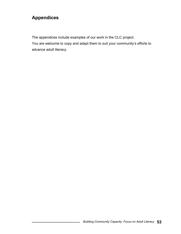# **Appendices**

The appendices include examples of our work in the CLC project.

You are welcome to copy and adapt them to suit your community's efforts to advance adult literacy.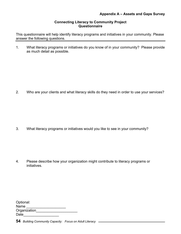### **Appendix A – Assets and Gaps Survey**

### **Connecting Literacy to Community Project Questionnaire**

This questionnaire will help identify literacy programs and initiatives in your community. Please answer the following questions.

1. What literacy programs or initiatives do you know of in your community? Please provide as much detail as possible.

2. Who are your clients and what literacy skills do they need in order to use your services?

3. What literacy programs or initiatives would you like to see in your community?

4. Please describe how your organization might contribute to literacy programs or initiatives.

| Optional:    |  |
|--------------|--|
| Name         |  |
| Organization |  |
| Date         |  |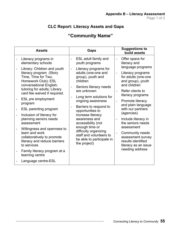# **CLC Report: Literacy Assets and Gaps**

# **"Community Name"**

| <b>Assets</b>                                                                                                                   |                                 | Gaps                                                                                                                                                                                                                                                                                                                                                                   |                                 | <b>Suggestions to</b><br>build assets                                                              |                                        |                                          |                                                                                                  |
|---------------------------------------------------------------------------------------------------------------------------------|---------------------------------|------------------------------------------------------------------------------------------------------------------------------------------------------------------------------------------------------------------------------------------------------------------------------------------------------------------------------------------------------------------------|---------------------------------|----------------------------------------------------------------------------------------------------|----------------------------------------|------------------------------------------|--------------------------------------------------------------------------------------------------|
| Literacy programs in<br>elementary schools                                                                                      |                                 | ESL adult family and<br>youth programs                                                                                                                                                                                                                                                                                                                                 | $\overline{a}$<br>$\frac{1}{2}$ | Offer space for<br>literacy and                                                                    |                                        |                                          |                                                                                                  |
| Library: Children and youth<br>literacy program (Story<br>Time, Time for Two,<br>Homework Club); ESL<br>conversational English; | $\frac{1}{2}$<br>$\overline{a}$ | Literacy programs for<br>adults (one-one and<br>group), youth and<br>children<br>Seniors literacy needs<br>are unknown<br>Long term solutions for<br>ongoing awareness<br>Barriers to respond to<br>opportunities to<br>increase literacy<br>awareness and<br>accessibility (not<br>enough time or<br>difficulty organizing<br>staff and volunteers to<br>the project) |                                 | language programs<br>Literacy programs<br>for adults (one-one<br>and group), youth<br>and children |                                        |                                          |                                                                                                  |
| tutoring for adults; Library<br>card fee waived if required.                                                                    |                                 |                                                                                                                                                                                                                                                                                                                                                                        |                                 |                                                                                                    | Refer clients to<br>literacy programs  |                                          |                                                                                                  |
| ESL pre employment<br>program                                                                                                   |                                 |                                                                                                                                                                                                                                                                                                                                                                        |                                 | $\qquad \qquad \blacksquare$                                                                       | Promote literacy<br>and plain language |                                          |                                                                                                  |
| ESL parenting program                                                                                                           |                                 |                                                                                                                                                                                                                                                                                                                                                                        |                                 |                                                                                                    |                                        |                                          | with our partners<br>(agencies)                                                                  |
| Inclusion of literacy for<br>planning seniors needs<br>assessment                                                               |                                 |                                                                                                                                                                                                                                                                                                                                                                        |                                 |                                                                                                    |                                        | Include literacy in<br>the seniors needs |                                                                                                  |
| Willingness and openness to<br>learn and work<br>collaboratively to promote<br>literacy and reduce barriers<br>to services      |                                 |                                                                                                                                                                                                                                                                                                                                                                        |                                 |                                                                                                    | be able to participate in              | $\overline{a}$                           | assessment<br>Community needs<br>assessment survey<br>results identified<br>literacy as an issue |
| Family literacy program at a<br>learning centre                                                                                 |                                 |                                                                                                                                                                                                                                                                                                                                                                        |                                 | needing address                                                                                    |                                        |                                          |                                                                                                  |
| Language centre-ESL                                                                                                             |                                 |                                                                                                                                                                                                                                                                                                                                                                        |                                 |                                                                                                    |                                        |                                          |                                                                                                  |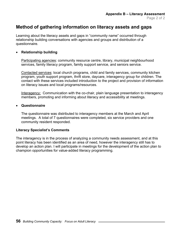# **Method of gathering information on literacy assets and gaps**

Learning about the literacy assets and gaps in "community name" occurred through relationship building conversations with agencies and groups and distribution of a questionnaire.

### • **Relationship building**

Participating agencies: community resource centre, library, municipal neighbourhood services, family literacy program, family support service, and seniors service.

Contacted services: local church programs, child and family services, community kitchen program, youth support program, thrift store, daycare, interagency group for children. The contact with these services included introduction to the project and provision of information on literacy issues and local programs/resources.

Interagency: Communication with the co-chair, plain language presentation to interagency members, promoting and informing about literacy and accessibility at meetings.

### • **Questionnaire**

The questionnaire was distributed to interagency members at the March and April meetings. A total of 7 questionnaires were completed, six service providers and one community resident responded.

### **Literacy Specialist's Comments**

The interagency is in the process of analyzing a community needs assessment, and at this point literacy has been identified as an area of need, however the interagency still has to develop an action plan. I will participate in meetings for the development of the action plan to champion opportunities for value-added literacy programming.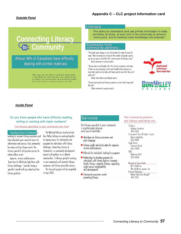"The ability to understand and use printed information in daily activities, at home, at work and in the community to achieve one's goals, and to develop one's knowledge and potential.'

# **Connecting Literacy** to Community

Almost 48% of Canadians have difficulty dealing with printed materials

> They may not be able to read and understand a classified ad, find the date on a deposit slip<br>or figure out instructions on a medicine bottle. Source: Movement for Canadian Literacy, June 2001

### *Inside Panel*

#### Do you know people who have difficulty reading, writing or working with basic numbers?

#### The literacy specialist in your community can help!

**Connecting Literacy to Community is** 

working to increase literacy awareness and help individuals gain successful access to information and services. Your community has many existing literacy assets. The literacy specialist will provide services to enhance these assets.

Agencies, services and businesses learn how to effectively help those with literacy challenges. Consider having a specialist consult with you about positive literacy practices.

The National Literacy Secretariat and Bow Valley College are working together to improve access to information and programs for individuals with literacy challenges. Connecting Literacy to Community is a community development project with partners in six Alberta communities. A literacy specialist working in your community will promote literacy awareness and liferacy accessible services.

This two-part project will be completed in June 2003.

# **Services**

read well."

this fall."

Literacy

**Comments** from

community partners:

Rural community resource centre

Urban information and referral centre

Urban community resource centre

"We made some changes in our last brochure to make it easier to read. There has been an increase in the number of people signing

up for our courses. Also the staff is more aware of literacy issues."

"We are more user-friendly after the literacy awareness workshops.

have had clients ask for help with forms and disclose that they can't

"We are planning to do literacy awareness at our fundraising event

I think we are conveving a safer and friendlier tone because we

The literacy specialist in your community is a professional who can assist you to facilitate:

- Workshops on literacy awareness and plain language
- Literacy audits and action plans for agencies. services and businesses
- Referrals for individuals looking for programs
- Partnerships to develop programs for individuals with literacy barriers (example: family literacy, computer literacy, upgrading, scribe service, employability skill development)
- Community awareness events promoting literacy

#### Your community partners and literacy specialists are:

Calaary Audrey Gardner 410-1502 Crowsnest Pass/Pincher Creek Karen Appleby 563-3814 High River Carmyn Block 652-5090  $0$ lds Rebecca Still 556-3045 Research Consultant

**Bill Holbrow** the Holbrow group Inc Project Manager Robin Houston-Knopff 410-1507



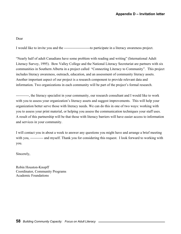Dear

I would like to invite you and the ----------------------to participate in a literacy awareness project.

"Nearly half of adult Canadians have some problem with reading and writing" (International Adult Literacy Survey, 1995). Bow Valley College and the National Literacy Secretariat are partners with six communities in Southern Alberta in a project called "Connecting Literacy to Community". This project includes literacy awareness, outreach, education, and an assessment of community literacy assets. Another important aspect of our project is a research component to provide relevant data and information. Two organizations in each community will be part of the project's formal research.

-----------, the literacy specialist in your community, our research consultant and I would like to work with you to assess your organization's literacy assets and suggest improvements. This will help your organization better serve those with literacy needs. We can do this in one of two ways: working with you to assess your print material, or helping you assess the communication techniques your staff uses. A result of this partnership will be that those with literacy barriers will have easier access to information and services in your community.

I will contact you in about a week to answer any questions you might have and arrange a brief meeting with you, ----------- and myself. Thank you for considering this request. I look forward to working with you.

Sincerely,

Robin Houston-Knopff Coordinator, Community Programs Academic Foundations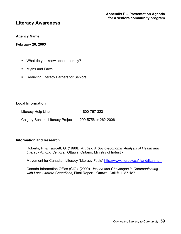# **Literacy Awareness**

### **Agency Name**

**February 20, 2003** 

- **What do you know about Literacy?**
- **Nyths and Facts**
- **Reducing Literacy Barriers for Seniors**

### **Local Information**

Literacy Help Line 1-800-767-3231 Calgary Seniors' Literacy Project 290-5756 or 262-2006

### **Information and Research**

Roberts, P. & Fawcett, G. (1998*). At Risk: A Socio-economic Analysis of Health and Literacy Among Seniors*. Ottawa, Ontario: Ministry of Industry

Movement for Canadian Literacy "Literacy Facts" [http://www.literacy.ca/litand/litan.htm](http://www.literacy.ca/litand/litand.htm)

Canada Information Office (CIO). (2000). *Issues and Challenges in Communicating with Less Literate Canadians*, Final Report. Ottawa. Call # JL 87 187.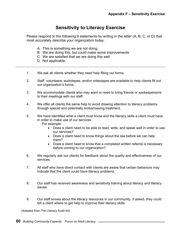# **Sensitivity to Literacy Exercise**

Please respond to the following 9 statements by writing in the letter (A, B, C, or D) that most accurately describe your organization today.

- A. This is something we are not doing
- B. We are doing this, but could make some improvements
- C. We are satisfied that we are doing this well
- D. Not applicable.
- 1. We ask all clients whether they need help filling out forms.
- 2. Staff, volunteers, audiotapes, and/or videotapes are available to help clients fill out our organization's forms.
- 3. We accommodate clients who may want or need to bring friends or spokespersons to their meetings with our staff.
- 4. We offer all clients the same help to avoid drawing attention to literacy problems through special and potentially embarrassing treatment.

5. We have identified what a client must know and the literacy skills a client must have in order to make use of our services. For example:

- Does a client need to be able to read, write, and speak well in order to use our services?
- Does a client need to know things about the law before we can help them?
- Does a client need to know that a completed written referral is necessary before coming to our organization?
- 6. We regularly ask our clients for feedback about the quality and effectiveness of our services.
- 7. All staff who have direct contact with clients are aware that certain behaviors may indicate that the client could have literacy problems.
- 8. Our staff has received awareness and sensitivity training about literacy and literacy issues.
- 9. Our staff knows about the literacy resources in our community. If asked, they could tell a client where to get help to improve their literacy skills.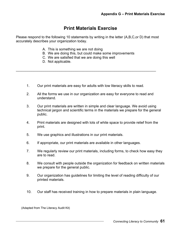# **Print Materials Exercise**

Please respond to the following 10 statements by writing in the letter (A,B,C,or D) that most accurately describes your organization today.

- A. This is something we are not doing
- B. We are doing this, but could make some improvements
- C. We are satisfied that we are doing this well
- D. Not applicable.
- 1. Our print materials are easy for adults with low literacy skills to read.

\_\_\_\_\_\_\_\_\_\_\_\_\_\_\_\_\_\_\_\_\_\_\_\_\_\_\_\_\_\_\_\_\_\_\_\_\_\_\_\_\_\_\_\_\_\_\_\_\_\_\_\_\_\_\_\_\_\_\_\_\_\_\_\_\_\_\_\_\_\_\_

- 2. All the forms we use in our organization are easy for everyone to read and understand.
- 3. Our print materials are written in simple and clear language. We avoid using technical jargon and scientific terms in the materials we prepare for the general public.
- 4. Print materials are designed with lots of white space to provide relief from the print.
- 5. We use graphics and illustrations in our print materials.
- 6. If appropriate, our print materials are available in other languages.
- 7. We regularly review our print materials, including forms, to check how easy they are to read.
- 8. We consult with people outside the organization for feedback on written materials we prepare for the general public.
- 9. Our organization has guidelines for limiting the level of reading difficulty of our printed materials.
- 10. Our staff has received training in how to prepare materials in plain language.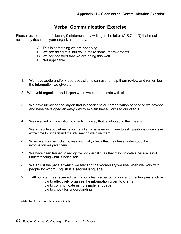# **Verbal Communication Exercise**

Please respond to the following 9 statements by writing in the letter (A,B,C,or D) that most accurately describes your organization today.

- A. This is something we are not doing
- B. We are doing this, but could make some improvements

 $\mathcal{L}_\text{max} = \mathcal{L}_\text{max} = \mathcal{L}_\text{max} = \mathcal{L}_\text{max} = \mathcal{L}_\text{max} = \mathcal{L}_\text{max} = \mathcal{L}_\text{max} = \mathcal{L}_\text{max} = \mathcal{L}_\text{max} = \mathcal{L}_\text{max} = \mathcal{L}_\text{max} = \mathcal{L}_\text{max} = \mathcal{L}_\text{max} = \mathcal{L}_\text{max} = \mathcal{L}_\text{max} = \mathcal{L}_\text{max} = \mathcal{L}_\text{max} = \mathcal{L}_\text{max} = \mathcal{$ 

- C. We are satisfied that we are doing this well
- D. Not applicable.
- 1. We have audio and/or videotapes clients can use to help them review and remember the information we give them.
- 2. We avoid organizational jargon when we communicate with clients.
- 3. We have identified the jargon that is specific to our organization or service we provide, and have developed an easy way to explain these words to our clients.
- 4. We give verbal information to clients in a way that is adapted to their needs.
- 5. We schedule appointments so that clients have enough time to ask questions or can take extra time to understand the information we give them.
- 6. When we work with clients, we continually check that they have understood the information we give them.
- 7. We have been trained to recognize non-verbal cues that may indicate a person is not understanding what is being said.
- 8. We adjust the pace at which we talk and the vocabulary we use when we work with people for whom English is a second language.
- 9. All our staff has received training on clear verbal communication techniques such as:
	- how to effectively organize the information given to clients
	- how to communicate using simple language
	- how to check for understanding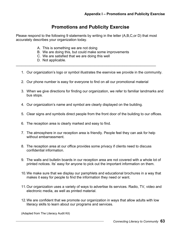# **Promotions and Publicity Exercise**

Please respond to the following 9 statements by writing in the letter (A,B,C,or D) that most accurately describes your organization today.

- A. This is something we are not doing
- B. We are doing this, but could make some improvements
- C. We are satisfied that we are doing this well
- D. Not applicable.
- 1. Our organization's logo or symbol illustrates the eservice we provide in the community.
- 2. Our phone number is easy for everyone to find on all our promotional material

 $\mathcal{L}_\text{max} = \mathcal{L}_\text{max} = \mathcal{L}_\text{max} = \mathcal{L}_\text{max} = \mathcal{L}_\text{max} = \mathcal{L}_\text{max} = \mathcal{L}_\text{max} = \mathcal{L}_\text{max} = \mathcal{L}_\text{max} = \mathcal{L}_\text{max} = \mathcal{L}_\text{max} = \mathcal{L}_\text{max} = \mathcal{L}_\text{max} = \mathcal{L}_\text{max} = \mathcal{L}_\text{max} = \mathcal{L}_\text{max} = \mathcal{L}_\text{max} = \mathcal{L}_\text{max} = \mathcal{$ 

- 3. When we give directions for finding our organization, we refer to familiar landmarks and bus stops.
- 4. Our organization's name and symbol are clearly displayed on the building.
- 5. Clear signs and symbols direct people from the front door of the building to our offices.
- 6. The reception area is clearly marked and easy to find.
- 7. The atmosphere in our reception area is friendly. People feel they can ask for help without embarrassment.
- 8. The reception area at our office provides some privacy if clients need to discuss confidential information.
- 9. The walls and bulletin boards in our reception area are not covered with a whole lot of printed notices. Its' easy for anyone to pick out the important information on them.
- 10. We make sure that we display our pamphlets and educational brochures in a way that makes it easy for people to find the information they need or want.
- 11. Our organization uses a variety of ways to advertise its services. Radio, TV, video and electronic media, as well as printed material.
- 12. We are confident that we promote our organization in ways that allow adults with low literacy skills to learn about our programs and services.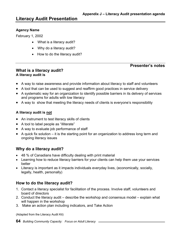# **Agency Name**

February 1, 2002

- What is a literacy audit?
- Why do a literacy audit?
- How to do the literacy audit?

# **Presenter's notes**

# **What is a literacy audit? A literacy audit is**

- A way to raise awareness and provide information about literacy to staff and volunteers
- A tool that can be used to suggest and reaffirm good practices in service delivery
- A systematic way for an organization to identify possible barriers in its delivery of services and programs for adults with low literacy
- A way to show that meeting the literacy needs of clients is everyone's responsibility

# **A literacy audit is not**

- An instrument to test literacy skills of clients
- A tool to label people as "illiterate"
- A way to evaluate job performance of staff
- A quick fix solution it is the starting point for an organization to address long term and ongoing literacy issues

# **Why do a literacy audit?**

- 48 % of Canadians have difficulty dealing with print material
- Learning how to reduce literacy barriers for your clients can help them use your services better
- Literacy is important as it impacts individuals everyday lives, (economically, socially, legally, health, personally)

# **How to do the literacy audit?**

- 1. Contact a literacy specialist for facilitation of the process. Involve staff, volunteers and board of directors
- 2. Conduct the literacy audit describe the workshop and consensus model explain what will happen in the workshop
- 3. Make an action plan including indicators, and Take Action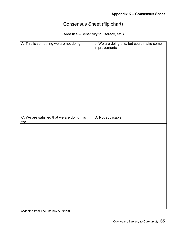# Consensus Sheet (flip chart)

(Area title – Sensitivity to Literacy, etc.)

| A. This is something we are not doing      | b. We are doing this, but could make some<br>improvements |
|--------------------------------------------|-----------------------------------------------------------|
|                                            |                                                           |
|                                            |                                                           |
|                                            |                                                           |
|                                            |                                                           |
|                                            |                                                           |
|                                            |                                                           |
|                                            |                                                           |
|                                            |                                                           |
|                                            |                                                           |
|                                            |                                                           |
|                                            |                                                           |
| C. We are satisfied that we are doing this | D. Not applicable                                         |
| well                                       |                                                           |
|                                            |                                                           |
|                                            |                                                           |
|                                            |                                                           |
|                                            |                                                           |
|                                            |                                                           |
|                                            |                                                           |
|                                            |                                                           |
|                                            |                                                           |
|                                            |                                                           |
|                                            |                                                           |
|                                            |                                                           |
|                                            |                                                           |
|                                            |                                                           |
|                                            |                                                           |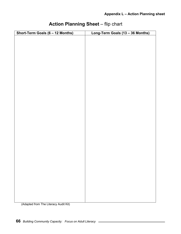| Short-Term Goals (6 - 12 Months) | Long-Term Goals (13 - 36 Months) |
|----------------------------------|----------------------------------|
|                                  |                                  |
|                                  |                                  |
|                                  |                                  |
|                                  |                                  |
|                                  |                                  |
|                                  |                                  |
|                                  |                                  |
|                                  |                                  |
|                                  |                                  |
|                                  |                                  |
|                                  |                                  |
|                                  |                                  |
|                                  |                                  |
|                                  |                                  |
|                                  |                                  |
|                                  |                                  |
|                                  |                                  |
|                                  |                                  |
|                                  |                                  |
|                                  |                                  |
|                                  |                                  |
|                                  |                                  |
|                                  |                                  |
|                                  |                                  |
|                                  |                                  |
|                                  |                                  |
|                                  |                                  |
|                                  |                                  |
|                                  |                                  |
|                                  |                                  |
|                                  |                                  |
|                                  |                                  |
|                                  |                                  |
|                                  |                                  |
|                                  |                                  |
|                                  |                                  |
|                                  |                                  |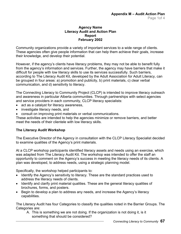### **Agency Name Literacy Audit and Action Plan Report February 2002**

Community organizations provide a variety of important services to a wide range of clients. These agencies often give people information that can help them achieve their goals, increase their knowledge, and develop their potential.

However, if the agency's clients have literacy problems, they may not be able to benefit fully from the agency's information and services. Further, the agency may have barriers that make it difficult for people with low literacy skills to use its services successfully. Such barriers, according to The Literacy Audit Kit, developed by the Adult Association for Adult Literacy, can be grouped in four areas: a) promotion and publicity, b) print materials, c) clear verbal communication, and d) sensitivity to literacy.

The Connecting Literacy to Community Project (CLCP) is intended to improve literacy outreach and awareness in particular Alberta communities. Through partnerships with select agencies and service providers in each community, CLCP literacy specialists:

- act as a catalyst for literacy awareness,
- investigate literacy needs, and
- consult on improving print materials or verbal communications.

These activities are intended to help the agencies minimize or remove barriers, and better meet the needs of their clientele with low literacy skills.

# **The Literacy Audit Workshop**

The Executive Director of the Agency in consultation with the CLCP Literacy Specialist decided to examine qualities of the Agency's print materials.

At a CLCP workshop participants identified literacy assets and needs using an exercise, which was adapted from The Literacy Audit Kit. The workshop was intended to offer the staff an opportunity to comment on the Agency's success in meeting the literacy needs of its clients. A plan was developed, to address needs, using a strategic planning model.

Specifically, the workshop helped participants to:

- Identify the Agency's sensitivity to literacy. These are the standard practices used to address the literacy needs of clients.
- Identify and clarify print material qualities. These are the general literacy qualities of brochures, forms, and posters.
- Begin to develop a plan to address any needs, and increase the Agency's literacy capabilities.

The Literacy Audit has four Categories to classify the qualities noted in the Barrier Groups. The Categories are:

A. This is something we are not doing. If the organization is not doing it, is it something that should be considered?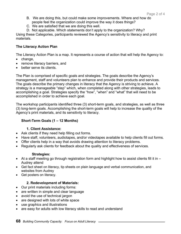- B. We are doing this, but could make some improvements. Where and how do people feel the organization could improve the way it does things?
- C. We are satisfied that we are doing this well.
- D. Not applicable. Which statements don't apply to the organization? Why?

Using these Categories, participants reviewed the Agency's sensitivity to literacy and print materials.

# **The Literacy Action Plan**

The Literacy Action Plan is a map. It represents a course of action that will help the Agency to:

- change,
- remove literacy barriers, and
- better serve its clients.

The Plan is comprised of specific goals and strategies. The goals describe the Agency's management, staff and volunteers plan to enhance and provide their products and services. The goals describe the primary changes in literacy that the Agency is striving to achieve. A strategy is a manageable "step" which, when completed along with other strategies, leads to accomplishing a goal. Strategies specify the "how", "when" and "what" that will need to be accomplished in order to achieve each goal.

The workshop participants identified three (3) short-term goals, and strategies, as well as three (3) long-term goals. Accomplishing the short-term goals will help to increase the quality of the Agency's print materials, and its sensitivity to literacy.

# **Short-Term Goals (1 – 12 Months)**

# **1. Client Assistance:**

- Ask clients if they need help filling out forms.
- Have staff, volunteers, audiotapes, and/or videotapes available to help clients fill out forms.
- Offer clients help in a way that avoids drawing attention to literacy problems.
- Regularly ask clients for feedback about the quality and effectiveness of services.

# **Strategies:**

- At a staff meeting go through registration form and highlight how to assist clients fill it in  $-$ Audrey attend
- Get fact sheet on literacy, tip sheets on plain language and verbal communication, and websites from Audrey
- Get posters on literacy.

# **2. Redevelopment of Materials:**

- Our print materials including forms:
- are written in simple and clear language
- avoid the use of technical jargon
- are designed with lots of white space
- use graphics and illustrations
- are easy for adults with low literacy skills to read and understand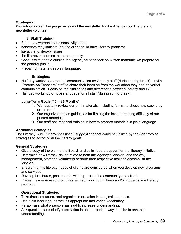# **Strategies:**

Workshop on plain language revision of the newsletter for the Agency coordinators and newsletter volunteer

# **3. Staff Training:**

- Enhance awareness and sensitivity about:
- behaviors may indicate that the client could have literacy problems
- literacy and literacy issues
- the literacy resources in our community
- Consult with people outside the Agency for feedback on written materials we prepare for the general public.
- Preparing materials in plain language.

# **Strategies:**

- Half-day workshop on verbal communication for Agency staff (during spring break). Invite "Parents As Teachers" staff to share their learning from the workshop they had on verbal communication. Focus on the similarities and differences between literacy and ESL
- Half day workshop on plain language for all staff (during spring break).

# **Long-Term Goals (13 – 36 Months)**

- 1. We regularly review our print materials, including forms, to check how easy they are to read.
- 2. Our organization has guidelines for limiting the level of reading difficulty of our printed materials.
- 3. Our staff has received training in how to prepare materials in plain language.

# **Additional Strategies**

The Literacy Audit Kit provides useful suggestions that could be utilized by the Agency's as strategies to accomplish the literacy goals.

# **General Strategies**

- Give a copy of the plan to the Board, and solicit board support for the literacy initiative.
- Determine how literacy issues relate to both the Agency's Mission, and the way management, staff and volunteers perform their respective tasks to accomplish the Mission.
- Ensure that the literacy needs of clients are considered when you develop new programs and services.
- Develop brochures, posters, etc. with input from the community and clients.
- Pretest new or revised brochures with advisory committees and/or students in a literacy program.

# **Operational Strategies**

- Take time to prepare, and organize information in a logical sequence.
- Use plain language, as well as appropriate and varied vocabulary.
- Paraphrase what a person has said to increase understanding.
- Ask questions and clarify information in an appropriate way in order to enhance understanding.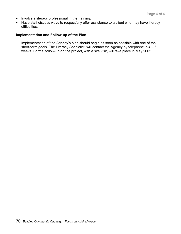- Involve a literacy professional in the training.
- Have staff discuss ways to respectfully offer assistance to a client who may have literacy difficulties.

# **Implementation and Follow-up of the Plan**

Implementation of the Agency's plan should begin as soon as possible with one of the short-term goals. The Literacy Specialist will contact the Agency by telephone in  $4 - 6$ weeks. Formal follow-up on the project, with a site visit, will take place in May 2002.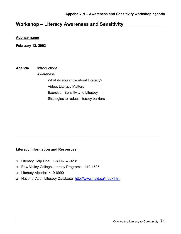# **Workshop – Literacy Awareness and Sensitivity**

#### **Agency name**

**February 12, 2003** 

**Agenda** Introductions Awareness What do you know about Literacy? Video: Literacy Matters Exercise: Sensitivity to Literacy Strategies to reduce literacy barriers

#### **Literacy Information and Resources:**

- Literacy Help Line: 1-800-767-3231
- Bow Valley College Literacy Programs: 410-1525
- Literacy Alberta: 410-6990
- □ National Adult Literacy Database<http://www.nald.ca/index.htm>

\_\_\_\_\_\_\_\_\_\_\_\_\_\_\_\_\_\_\_\_\_\_\_\_\_\_\_\_\_\_\_\_\_\_\_\_\_\_\_\_\_\_\_\_\_\_\_\_\_\_\_\_\_\_\_\_\_\_\_\_\_\_\_\_\_\_\_\_\_\_\_\_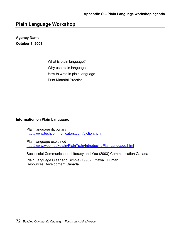# **Plain Language Workshop**

# **Agency Name October 8, 2003**

 What is plain language? Why use plain language How to write in plain language Print Material Practice

**Information on Plain Language:** 

Plain language dictionary <http://www.techcommunicators.com/diction.html>

Plain language explained <http://www.web.net/~plain/PlainTrain/IntroducingPlainLanguage.html>

Successful Communication: Literacy and You (2003) Communication Canada

Plain Language Clear and Simple (1996). Ottawa. Human Resources Development Canada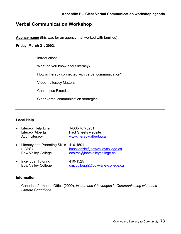# **Verbal Communication Workshop**

**Agency name** (this was for an agency that worked with families)

# **Friday, March 21, 2002,**

**Introductions** 

What do you know about literacy?

How is literacy connected with verbal communication?

Video - Literacy Matters

Consensus Exercise

Clear verbal communication strategies

# **Local Help**

| $\bullet$ | Literacy Help Line<br>Literacy Alberta<br><b>Adult Literacy</b>                 | 1-800-767-3231<br><b>Fact Sheets website</b><br>www.literacy-alberta.ca |
|-----------|---------------------------------------------------------------------------------|-------------------------------------------------------------------------|
|           | • Literacy and Parenting Skills 410-1501<br>(LAPS)<br><b>Bow Valley College</b> | Imackenzie@bowvalleycollege.ca<br>ecairns@bowvalleycollege.ca           |
|           |                                                                                 | .                                                                       |

• Individual Tutoring 410-1525 Bow Valley College [cmccullough@bowvalleycollege.ca](mailto:cmccullough@bowvalleycollege.ca)

#### **Information**

Canada Information Office (2000). *Issues and Challenges in Communicating with Less Literate Canadians.*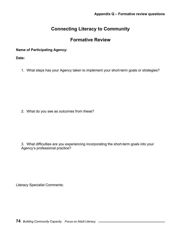# **Connecting Literacy to Community**

# **Formative Review**

# **Name of Participating Agency:**

**Date:**

1. What steps has your Agency taken to implement your short-term goals or strategies?

2. What do you see as outcomes from these?

3. What difficulties are you experiencing incorporating the short-term goals into your Agency's professional practice?

Literacy Specialist Comments: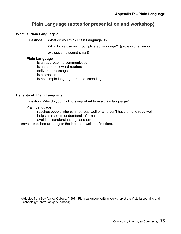# **Plain Language (notes for presentation and workshop)**

# **What is Plain Language?**

Questions: What do you think Plain Language is?

Why do we use such complicated language? (professional jargon,

exclusive, to sound smart)

#### **Plain Language**

- is an approach to communication
- is an attitude toward readers
- delivers a message
- is a process
- is not simple language or condescending

#### **Benefits of Plain Language**

Question: Why do you think it is important to use plain language?

Plain Language

- reaches people who can not read well or who don't have time to read well
- helps all readers understand information
- avoids misunderstandings and errors

saves time, because it gets the job done well the first time.

(Adapted from Bow Valley College. (1997). Plain Language Writing Workshop at the Victoria Learning and Technology Centre. Calgary, Alberta)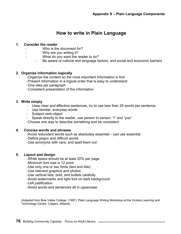# **How to write in Plain Language**

#### **1. Consider the reader**

- Who is the document for?
- Why are you writing it?
	- What do you want the reader to do?
		- Be aware of cultural and language factors, and social and economic barriers

#### **2. Organize information logically**

- Organize the content so the most important information is first
- Present information in a logical order that is easy to understand
- One idea per paragraph
- Consistent presentation of the information

#### **3. Write simply**

- Uses clear and effective sentences, try to use less than 25 words per sentence
- Use familiar, everyday words
- Subject-verb-object
- Speak directly to the reader, use person to person: "I" and "you"

- Choose one way to describe something and be consistent

#### **4. Concise words and phrases**

- Avoid redundant words such as absolutely essential – just use essential

- Define jargon and difficult words
- Use acronyms with care, and spell them out

# **5. Layout and design**

- White space should be at least 20% per page
- Minimum font size is 12 point
- Use only one or two fonts (text and title)
- Use relevant graphics and photos
- Use vertical lists, bold, and bullets carefully
- Avoid watermarks and light font on dark background
- Left justification
- Avoid words and sentences all in uppercase

(Adapted from Bow Valley College. (1997). Plain Language Writing Workshop at the Victoria Learning and Technology Centre. Calgary, Alberta)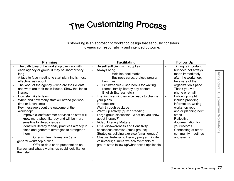# The Customizing Process

Customizing is an approach to workshop design that seriously considers ownership, responsibility and intended outcome.

| <b>Planning</b>                                                                                                                                                                                                                                                                                                                                                                                                                                                                                                                                                                                                                                                                                                                                                                                                                                                                 | <b>Facilitating</b>                                                                                                                                                                                                                                                                                                                                                                                                                                                                                                                                                                                                                                                                                                                               | <b>Follow Up</b>                                                                                                                                                                                                                                                                                                                                                                                       |
|---------------------------------------------------------------------------------------------------------------------------------------------------------------------------------------------------------------------------------------------------------------------------------------------------------------------------------------------------------------------------------------------------------------------------------------------------------------------------------------------------------------------------------------------------------------------------------------------------------------------------------------------------------------------------------------------------------------------------------------------------------------------------------------------------------------------------------------------------------------------------------|---------------------------------------------------------------------------------------------------------------------------------------------------------------------------------------------------------------------------------------------------------------------------------------------------------------------------------------------------------------------------------------------------------------------------------------------------------------------------------------------------------------------------------------------------------------------------------------------------------------------------------------------------------------------------------------------------------------------------------------------------|--------------------------------------------------------------------------------------------------------------------------------------------------------------------------------------------------------------------------------------------------------------------------------------------------------------------------------------------------------------------------------------------------------|
| The path toward the workshop can vary with<br>each agency or group, it may be short or very<br>long<br>A face to face meeting to start planning is most<br>effective, ask about:<br>The work of the agency - who are their clients<br>and what are their main issues. Show the link to<br>literacy<br>How staff like to learn<br>When and how many staff will attend (on work<br>time or lunch time)<br>Key message about the outcome of the<br>workshop:<br>Improve client/customer services as staff will<br>know more about literacy and will be more<br>sensitive to literacy issues<br>Identified literacy friendly practices already in<br>place and generate strategies to strengthen<br>them<br>Offer written information (ie. a<br>general workshop outline)<br>Offer to do a short presentation on<br>literacy and what a workshop could look like for<br>their staff | Be self sufficient with supplies<br>Always bring<br>Helpline bookmarks<br>Business cards, project/ program<br>brochure<br>Gifts/freebies (used books for waiting<br>rooms, family literacy day posters,<br>English Express, etc.)<br>The first five minutes $-$ be ready to change<br>your plans<br>Introductions<br>Walk through package<br>Warm up activity (quiz or reading)<br>Large group discussion "What do you know<br>about literacy?"<br>Video: Literacy Matters<br>Lit Audit-Awareness and Sensitivity<br>consensus exercise (small groups)<br>Strategies building exercise (small groups)<br>Closure: Referral to literacy program, invite<br>volunteers; summarize achievements of<br>group; state follow up/what next if applicable | Timing is important,<br>but does not always<br>mean immediately<br>after the workshop,<br>be aware of the<br>organization's pace<br>Thank you via<br>phone or email<br>Follow up might<br>include providing<br>information, writing<br>workshop report,<br>and/or planning next<br>steps<br>Reflective<br>documentation for<br>your records<br>Connecting at other<br>community meetings<br>and events |
|                                                                                                                                                                                                                                                                                                                                                                                                                                                                                                                                                                                                                                                                                                                                                                                                                                                                                 |                                                                                                                                                                                                                                                                                                                                                                                                                                                                                                                                                                                                                                                                                                                                                   |                                                                                                                                                                                                                                                                                                                                                                                                        |

**AppendixT Customizin g Worksho AppendixT Customizing Workshops**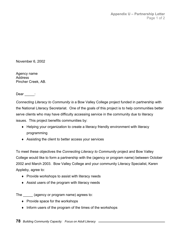November 6, 2002

Agency name Address Pincher Creek, AB.

Dear  $\rule{1em}{0.15mm}$  :

*Connecting Literacy to Community is* a Bow Valley College project funded in partnership with the National Literacy Secretariat. One of the goals of this project is to help communities better serve clients who may have difficulty accessing service in the community due to literacy issues. This project benefits communities by:

- ♦ Helping your organization to create a literacy friendly environment with literacy programming
- ♦ Assisting the client to better access your services

To meet these objectives the *Connecting Literacy to Community* project and Bow Valley College would like to form a partnership with the (agency or program name) between October 2002 and March 2003. Bow Valley College and your community Literacy Specialist, Karen Appleby, agree to:

- ♦ Provide workshops to assist with literacy needs
- ♦ Assist users of the program with literacy needs

The \_\_\_\_\_ (agency or program name) agrees to:

- ♦ Provide space for the workshops
- ♦ Inform users of the program of the times of the workshops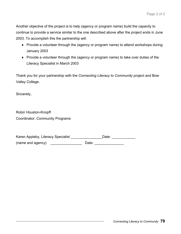Another objective of the project is to help (agency or program name) build the capacity to continue to provide a service similar to the one described above after the project ends in June 2003. To accomplish this the partnership will:

- ♦ Provide a volunteer through the (agency or program name) to attend workshops during January 2003
- ♦ Provide a volunteer through the (agency or program name) to take over duties of the Literacy Specialist in March 2003

Thank you for your partnership with the *Connecting Literacy to Community* project and Bow Valley College.

Sincerely,

Robin Houston-Knopff Coordinator, Community Programs

Karen Appleby, Literacy Specialist \_\_\_\_\_\_\_\_\_\_\_\_\_\_\_\_\_\_\_\_\_\_\_Date: \_\_\_\_\_\_\_\_\_\_\_\_\_\_\_\_ (name and agency) \_\_\_\_\_\_\_\_\_\_\_\_\_\_\_\_ Date: \_\_\_\_\_\_\_\_\_\_\_\_\_\_\_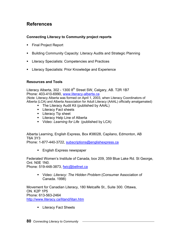# **References**

# **Connecting Literacy to Community project reports**

- Final Project Report
- **Building Community Capacity: Literacy Audits and Strategic Planning**
- **EXECUTE:** Literacy Specialists: Competencies and Practices
- **EXECT:** Literacy Specialists: Prior Knowledge and Experience

# **Resources and Tools**

Literacy Alberta, 302 - 1300 8<sup>th</sup> Street SW, Calgary, AB. T2R 1B7 Phone: 403-410-6990, [www.literacy-alberta.ca](http://www.literacy-alberta.ca)  (Note: Literacy Alberta was formed on April 1, 2003, when Literacy Coordinators of Alberta (LCA) and Alberta Association for Adult Literacy (AAAL) officially amalgamated)

- **The Literacy Audit Kit (published by AAAL)**
- **Literacy Fact sheets**
- **Literacy Tip sheet**
- **EXECCY Help Line of Alberta**
- Video: *Learning for Life* (published by LCA)

Alberta Learning, English Express, Box #38028, Capilano, Edmonton, AB T6A 3Y3

Phone: 1-877-440-3722[, subscriptions@englishexpress.ca](mailto:subscriptions@englishexpress.ca)

**English Express newspaper** 

Federated Women's Institute of Canada, box 209, 359 Blue Lake Rd. St George, Ont. N0E 1N0.

Phone: 519-448-3873, fwic@bellnet.ca

 Video: *Literacy: The Hidden Problem* (Consumer Association of Canada. 1998)

Movement for Canadian Literacy, 180 Metcalfe St., Suite 300. Ottawa, ON. K2P 1P5 Phone: 613-563-2464 <http://www.literacy.ca/litand/litan.htm>

**Literacy Fact Sheets**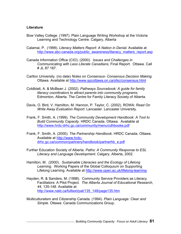#### **Literature**

- Bow Valley College. (1997). Plain Language Writing Workshop at the Victoria Learning and Technology Centre. Calgary, Alberta
- Calamai, P. (1999). *Literacy Matters Report: A Nation in Denial*. Available at [http://www.abc-canada.org/public\\_awareness/literacy\\_matters\\_report.asp](http://www.abc-canada.org/public_awareness/literacy_matters_report.asp)
- Canada Information Office (CIO). (2000). *Issues and Challenges in Communicating with Less Literate Canadians*, Final Report. Ottawa. Call # JL 87 187.
- Carlton University. (no date) *Notes on Consensus- Consensus Decision Making.* Ottawa. Available at<http://www.spcottawa.on.ca/ofsc/consensus.html>
- Coldblatt, A. & McBean J. (2002). *Pathways Sourcebook: A guide for family literacy coordinators to attract parents into community programs*. Edmonton, Alberta. The Centre for Family Literacy Society of Alberta.
- Davis, O. Bird, V. Hamilton, M. Hannon, P. Taylor, C. (2002). ROWA: *Read On Write Away Evaluation Report*. Lancaster. Lancaster University.
- Frank, F. Smith, A. (1999). *The Community Development Handbook: A Tool to Build Community Capacity.* HRDC Canada. Ottawa. Available at <http://www.hrdc-drhc.gc.ca/community/menu/cdhbooke.pdf>
- Frank, F. Smith, A. (2000). *The Partnership Handbook*. HRDC Canada. Ottawa. Available at [http://www.hrdc](http://www.hrdc-drhc.gc.ca/common/partners/handbook/partnerhb_e.pdf)[drhc.gc.ca/common/partners/handbook/partnerhb\\_e.pdf](http://www.hrdc-drhc.gc.ca/common/partners/handbook/partnerhb_e.pdf)
- Further Education Society of Alberta. *Paths: A Community Response to ESL Literacy and Language Development*. Calgary, Alberta, 2002.
- Hamilton, M. (2000). *Sustainable Literacies and the Ecology of Lifelong Learning.* Working Papers of the Global Colloquium on Supporting Lifelong Learning*.* Available at<http://www.open.ac.uk/lifelong-learning>
- Hayden, R. & Sanders, M. (1998). Community Service Providers as Literacy Facilitators: A Pilot Project. *The Alberta Journal of Educational Research, 44*, 135-148. Available at [http://www.nald.ca/fulltext/pat/135\\_148/page135.htm](http://www.nald.ca/fulltext/pat/135_148/page135.htm)
- Multiculturalism and Citizenship Canada. (1994). *Plain Language: Clear and Simple*. Ottawa: Canada Communications Group.